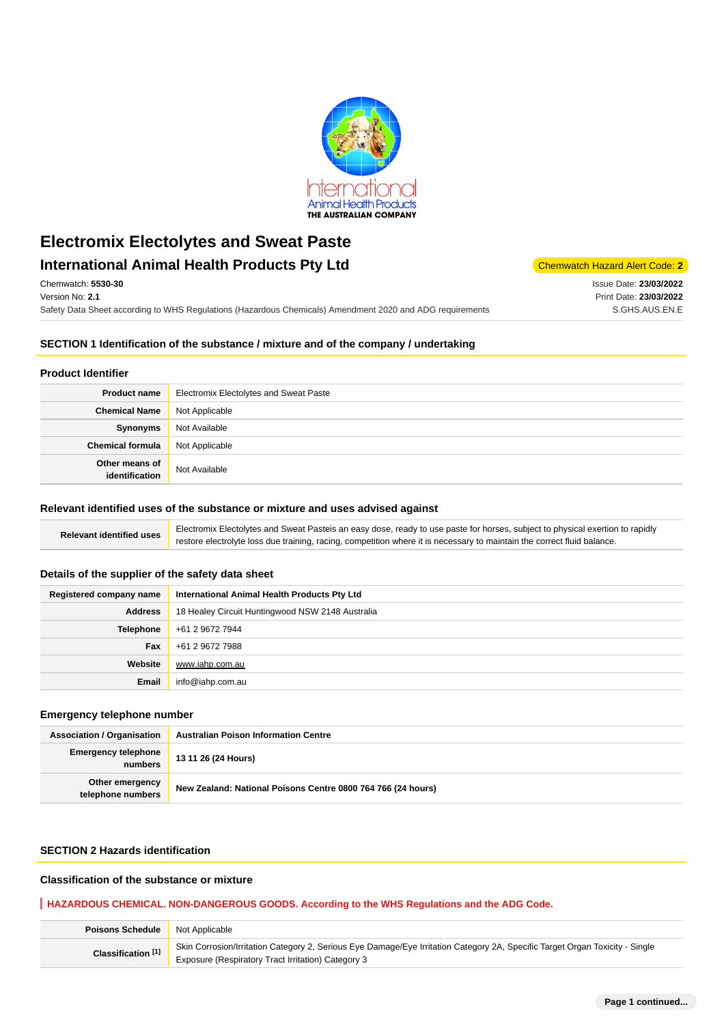

# **Electromix Electolytes and Sweat Paste International Animal Health Products Pty Ltd** Chemwatch Hazard Alert Code: 2

Chemwatch: **5530-30** Version No: **2.1**

Safety Data Sheet according to WHS Regulations (Hazardous Chemicals) Amendment 2020 and ADG requirements

Issue Date: **23/03/2022** Print Date: **23/03/2022** S.GHS.AUS.EN.E

### **SECTION 1 Identification of the substance / mixture and of the company / undertaking**

### **Product Identifier**

| <b>Product name</b>              | <b>Electromix Electolytes and Sweat Paste</b> |  |
|----------------------------------|-----------------------------------------------|--|
| <b>Chemical Name</b>             | Not Applicable                                |  |
| Synonyms                         | Not Available                                 |  |
| <b>Chemical formula</b>          | Not Applicable                                |  |
| Other means of<br>identification | Not Available                                 |  |

#### **Relevant identified uses of the substance or mixture and uses advised against**

Relevant identified uses **Electromix Electolytes and Sweat Pasteis an easy dose, ready to use paste for horses, subject to physical exertion to rapidly** restore electrolyte loss due training, racing, competition where it is necessary to maintain the correct fluid balance.

## **Details of the supplier of the safety data sheet**

| Registered company name | International Animal Health Products Pty Ltd     |  |
|-------------------------|--------------------------------------------------|--|
| <b>Address</b>          | 18 Healey Circuit Huntingwood NSW 2148 Australia |  |
| <b>Telephone</b>        | +61 2 9672 7944                                  |  |
| Fax                     | +61 2 9672 7988                                  |  |
| Website                 | www.iahp.com.au                                  |  |
| Email                   | info@iahp.com.au                                 |  |

## **Emergency telephone number**

| <b>Association / Organisation</b>    | <b>Australian Poison Information Centre</b>                  |  |
|--------------------------------------|--------------------------------------------------------------|--|
| Emergency telephone<br>numbers       | 13 11 26 (24 Hours)                                          |  |
| Other emergency<br>telephone numbers | New Zealand: National Poisons Centre 0800 764 766 (24 hours) |  |

## **SECTION 2 Hazards identification**

### **Classification of the substance or mixture**

#### **HAZARDOUS CHEMICAL. NON-DANGEROUS GOODS. According to the WHS Regulations and the ADG Code.**

| <b>Poisons Schedule</b> Not Applicable |                                                                                                                                                                                    |  |
|----------------------------------------|------------------------------------------------------------------------------------------------------------------------------------------------------------------------------------|--|
| Classification <sup>[1]</sup>          | Skin Corrosion/Irritation Category 2, Serious Eye Damage/Eye Irritation Category 2A, Specific Target Organ Toxicity - Single<br>Exposure (Respiratory Tract Irritation) Category 3 |  |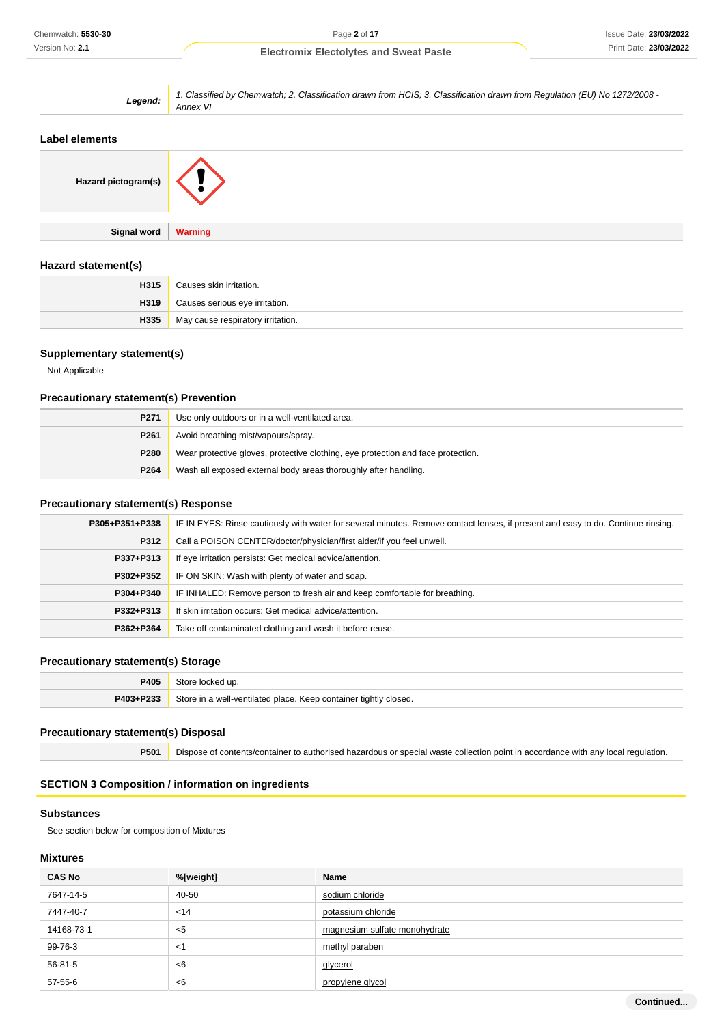| Legend:             | 1. Classified by Chemwatch; 2. Classification drawn from HCIS; 3. Classification drawn from Regulation (EU) No 1272/2008 -<br>Annex VI |  |  |
|---------------------|----------------------------------------------------------------------------------------------------------------------------------------|--|--|
| Label elements      |                                                                                                                                        |  |  |
| Hazard pictogram(s) |                                                                                                                                        |  |  |
| Signal word         | <b>Warning</b>                                                                                                                         |  |  |

## **Hazard statement(s)**

| H315 | Causes skin irritation.           |
|------|-----------------------------------|
| H319 | Causes serious eye irritation.    |
| H335 | May cause respiratory irritation. |

## **Supplementary statement(s)**

Not Applicable

## **Precautionary statement(s) Prevention**

| P <sub>271</sub> | Use only outdoors or in a well-ventilated area.                                  |  |
|------------------|----------------------------------------------------------------------------------|--|
| P <sub>261</sub> | Avoid breathing mist/vapours/spray.                                              |  |
| P280             | Wear protective gloves, protective clothing, eye protection and face protection. |  |
| P <sub>264</sub> | Wash all exposed external body areas thoroughly after handling.                  |  |

## **Precautionary statement(s) Response**

| P305+P351+P338 | IF IN EYES: Rinse cautiously with water for several minutes. Remove contact lenses, if present and easy to do. Continue rinsing. |  |  |
|----------------|----------------------------------------------------------------------------------------------------------------------------------|--|--|
| P312           | Call a POISON CENTER/doctor/physician/first aider/if you feel unwell.                                                            |  |  |
| P337+P313      | If eye irritation persists: Get medical advice/attention.                                                                        |  |  |
| P302+P352      | IF ON SKIN: Wash with plenty of water and soap.                                                                                  |  |  |
| P304+P340      | IF INHALED: Remove person to fresh air and keep comfortable for breathing.                                                       |  |  |
| P332+P313      | If skin irritation occurs: Get medical advice/attention.                                                                         |  |  |
| P362+P364      | Take off contaminated clothing and wash it before reuse.                                                                         |  |  |

## **Precautionary statement(s) Storage**

| 2405      | Store locked up.                                                 |  |
|-----------|------------------------------------------------------------------|--|
| P403+P233 | Store in a well-ventilated place. Keep container tightly closed. |  |

## **Precautionary statement(s) Disposal**

**P501** Dispose of contents/container to authorised hazardous or special waste collection point in accordance with any local regulation.

## **SECTION 3 Composition / information on ingredients**

#### **Substances**

See section below for composition of Mixtures

## **Mixtures**

| <b>CAS No</b> | %[weight] | <b>Name</b>                   |
|---------------|-----------|-------------------------------|
| 7647-14-5     | 40-50     | sodium chloride               |
| 7447-40-7     | < 14      | potassium chloride            |
| 14168-73-1    | $5$       | magnesium sulfate monohydrate |
| 99-76-3       | $<$ 1     | methyl paraben                |
| 56-81-5       | < 6       | glycerol                      |
| $57 - 55 - 6$ | < 6       | propylene glycol              |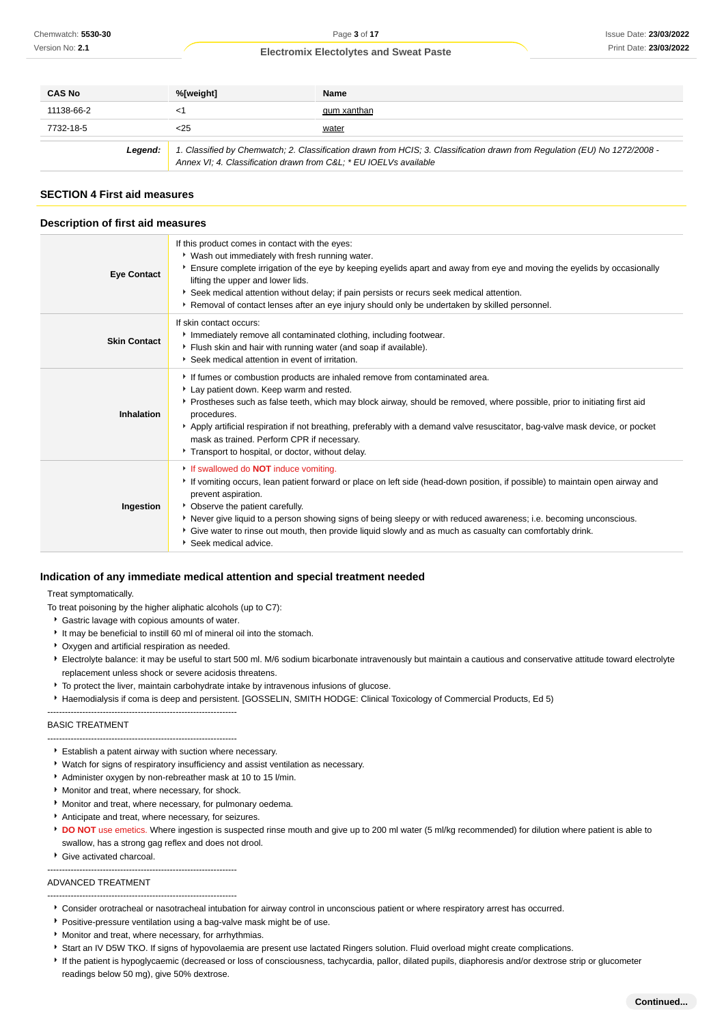| <b>CAS No</b>                                                                                                                                                                                              | %[weight] | <b>Name</b> |
|------------------------------------------------------------------------------------------------------------------------------------------------------------------------------------------------------------|-----------|-------------|
| 11138-66-2                                                                                                                                                                                                 | <1        | gum xanthan |
| 7732-18-5                                                                                                                                                                                                  | <25       | water       |
| 1. Classified by Chemwatch; 2. Classification drawn from HCIS; 3. Classification drawn from Regulation (EU) No 1272/2008 -<br>Legend:<br>Annex VI; 4. Classification drawn from C&L * EU IOEL Vs available |           |             |

#### **SECTION 4 First aid measures**

#### **Description of first aid measures**

| <b>Eye Contact</b>  | If this product comes in contact with the eyes:<br>* Wash out immediately with fresh running water.<br>Ensure complete irrigation of the eye by keeping eyelids apart and away from eye and moving the eyelids by occasionally<br>lifting the upper and lower lids.<br>Seek medical attention without delay; if pain persists or recurs seek medical attention.<br>▶ Removal of contact lenses after an eye injury should only be undertaken by skilled personnel.                                  |  |  |
|---------------------|-----------------------------------------------------------------------------------------------------------------------------------------------------------------------------------------------------------------------------------------------------------------------------------------------------------------------------------------------------------------------------------------------------------------------------------------------------------------------------------------------------|--|--|
| <b>Skin Contact</b> | If skin contact occurs:<br>Immediately remove all contaminated clothing, including footwear.<br>Flush skin and hair with running water (and soap if available).<br>Seek medical attention in event of irritation.                                                                                                                                                                                                                                                                                   |  |  |
| Inhalation          | If fumes or combustion products are inhaled remove from contaminated area.<br>Lay patient down. Keep warm and rested.<br>Prostheses such as false teeth, which may block airway, should be removed, where possible, prior to initiating first aid<br>procedures.<br>Apply artificial respiration if not breathing, preferably with a demand valve resuscitator, bag-valve mask device, or pocket<br>mask as trained. Perform CPR if necessary.<br>Transport to hospital, or doctor, without delay.  |  |  |
| Ingestion           | If swallowed do <b>NOT</b> induce vomiting.<br>If vomiting occurs, lean patient forward or place on left side (head-down position, if possible) to maintain open airway and<br>prevent aspiration.<br>• Observe the patient carefully.<br>▶ Never give liquid to a person showing signs of being sleepy or with reduced awareness; i.e. becoming unconscious.<br>• Give water to rinse out mouth, then provide liquid slowly and as much as casualty can comfortably drink.<br>Seek medical advice. |  |  |

#### **Indication of any immediate medical attention and special treatment needed**

Treat symptomatically.

To treat poisoning by the higher aliphatic alcohols (up to C7):

- Gastric lavage with copious amounts of water.
- It may be beneficial to instill 60 ml of mineral oil into the stomach.
- Oxygen and artificial respiration as needed.

-----------------------------------------------------------------

- Electrolyte balance: it may be useful to start 500 ml. M/6 sodium bicarbonate intravenously but maintain a cautious and conservative attitude toward electrolyte replacement unless shock or severe acidosis threatens.
- $\overline{\phantom{a}}$  To protect the liver, maintain carbohydrate intake by intravenous infusions of glucose.
- Haemodialysis if coma is deep and persistent. [GOSSELIN, SMITH HODGE: Clinical Toxicology of Commercial Products, Ed 5)

#### BASIC TREATMENT

- ----------------------------------------------------------------- Establish a patent airway with suction where necessary.
- Watch for signs of respiratory insufficiency and assist ventilation as necessary.
- Administer oxygen by non-rebreather mask at 10 to 15 l/min.
- **Monitor and treat, where necessary, for shock.**
- Monitor and treat, where necessary, for pulmonary oedema.
- Anticipate and treat, where necessary, for seizures.
- **DO NOT** use emetics. Where ingestion is suspected rinse mouth and give up to 200 ml water (5 ml/kg recommended) for dilution where patient is able to swallow, has a strong gag reflex and does not drool.
- Give activated charcoal.

ADVANCED TREATMENT

-----------------------------------------------------------------

#### -----------------------------------------------------------------

- Consider orotracheal or nasotracheal intubation for airway control in unconscious patient or where respiratory arrest has occurred.
- **Positive-pressure ventilation using a bag-valve mask might be of use.**
- **Monitor and treat, where necessary, for arrhythmias.**
- \* Start an IV D5W TKO. If signs of hypovolaemia are present use lactated Ringers solution. Fluid overload might create complications.
- If the patient is hypoglycaemic (decreased or loss of consciousness, tachycardia, pallor, dilated pupils, diaphoresis and/or dextrose strip or glucometer readings below 50 mg), give 50% dextrose.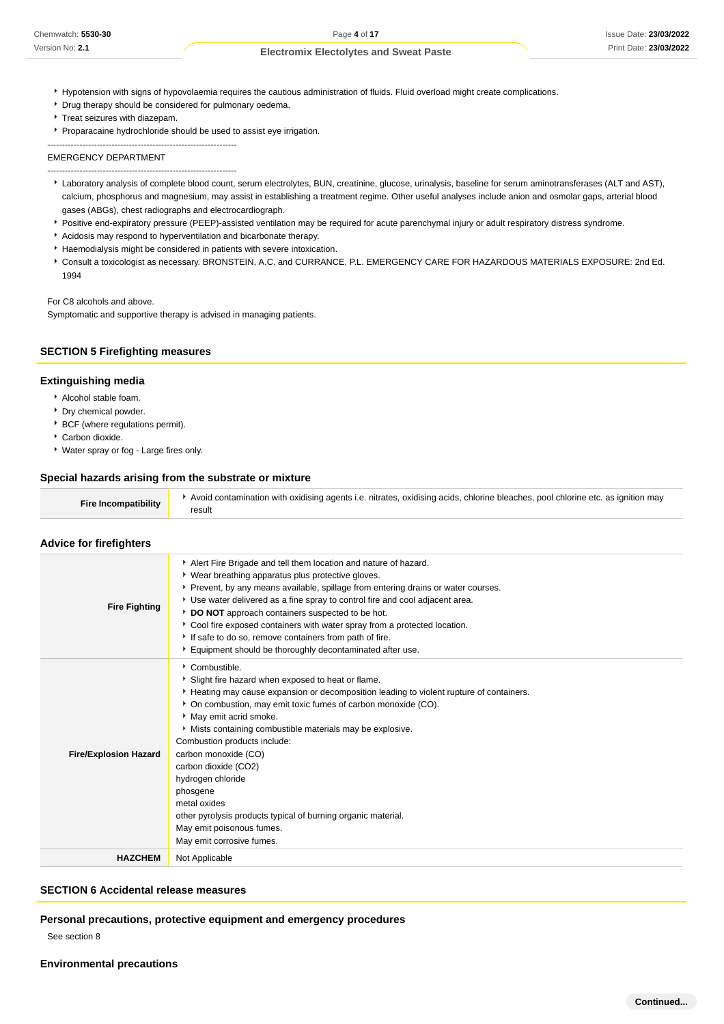- Hypotension with signs of hypovolaemia requires the cautious administration of fluids. Fluid overload might create complications.
- **Drug therapy should be considered for pulmonary oedema.**
- Treat seizures with diazepam.
- Proparacaine hydrochloride should be used to assist eye irrigation.

----------------------------------------------------------------- EMERGENCY DEPARTMENT

-----------------------------------------------------------------

- Laboratory analysis of complete blood count, serum electrolytes, BUN, creatinine, glucose, urinalysis, baseline for serum aminotransferases (ALT and AST), calcium, phosphorus and magnesium, may assist in establishing a treatment regime. Other useful analyses include anion and osmolar gaps, arterial blood gases (ABGs), chest radiographs and electrocardiograph.
- Positive end-expiratory pressure (PEEP)-assisted ventilation may be required for acute parenchymal injury or adult respiratory distress syndrome.
- Acidosis may respond to hyperventilation and bicarbonate therapy.
- Haemodialysis might be considered in patients with severe intoxication.
- Consult a toxicologist as necessary. BRONSTEIN, A.C. and CURRANCE, P.L. EMERGENCY CARE FOR HAZARDOUS MATERIALS EXPOSURE: 2nd Ed. 1994

For C8 alcohols and above.

Symptomatic and supportive therapy is advised in managing patients.

## **SECTION 5 Firefighting measures**

### **Extinguishing media**

- Alcohol stable foam.
- **Dry chemical powder.**
- **BCF** (where regulations permit).
- Carbon dioxide.

**Advice for firefighters**

Water spray or fog - Large fires only.

#### **Special hazards arising from the substrate or mixture**

| <b>Fire Incompatibility</b> | Avoid contamination with oxidising agents i.e. nitrates, oxidising acids, chlorine bleaches, pool chlorine etc. as ignition may<br>result |
|-----------------------------|-------------------------------------------------------------------------------------------------------------------------------------------|
|-----------------------------|-------------------------------------------------------------------------------------------------------------------------------------------|

| <b>Fire Fighting</b>         | Alert Fire Brigade and tell them location and nature of hazard.<br>• Wear breathing apparatus plus protective gloves.<br>▶ Prevent, by any means available, spillage from entering drains or water courses.<br>Use water delivered as a fine spray to control fire and cool adjacent area.<br>DO NOT approach containers suspected to be hot.<br>Cool fire exposed containers with water spray from a protected location.<br>If safe to do so, remove containers from path of fire.<br>Equipment should be thoroughly decontaminated after use.                                |
|------------------------------|--------------------------------------------------------------------------------------------------------------------------------------------------------------------------------------------------------------------------------------------------------------------------------------------------------------------------------------------------------------------------------------------------------------------------------------------------------------------------------------------------------------------------------------------------------------------------------|
| <b>Fire/Explosion Hazard</b> | Combustible.<br>Slight fire hazard when exposed to heat or flame.<br>Heating may cause expansion or decomposition leading to violent rupture of containers.<br>• On combustion, may emit toxic fumes of carbon monoxide (CO).<br>May emit acrid smoke.<br>Mists containing combustible materials may be explosive.<br>Combustion products include:<br>carbon monoxide (CO)<br>carbon dioxide (CO2)<br>hydrogen chloride<br>phosgene<br>metal oxides<br>other pyrolysis products typical of burning organic material.<br>May emit poisonous fumes.<br>May emit corrosive fumes. |
| <b>HAZCHEM</b>               | Not Applicable                                                                                                                                                                                                                                                                                                                                                                                                                                                                                                                                                                 |

#### **SECTION 6 Accidental release measures**

### **Personal precautions, protective equipment and emergency procedures**

See section 8

**Environmental precautions**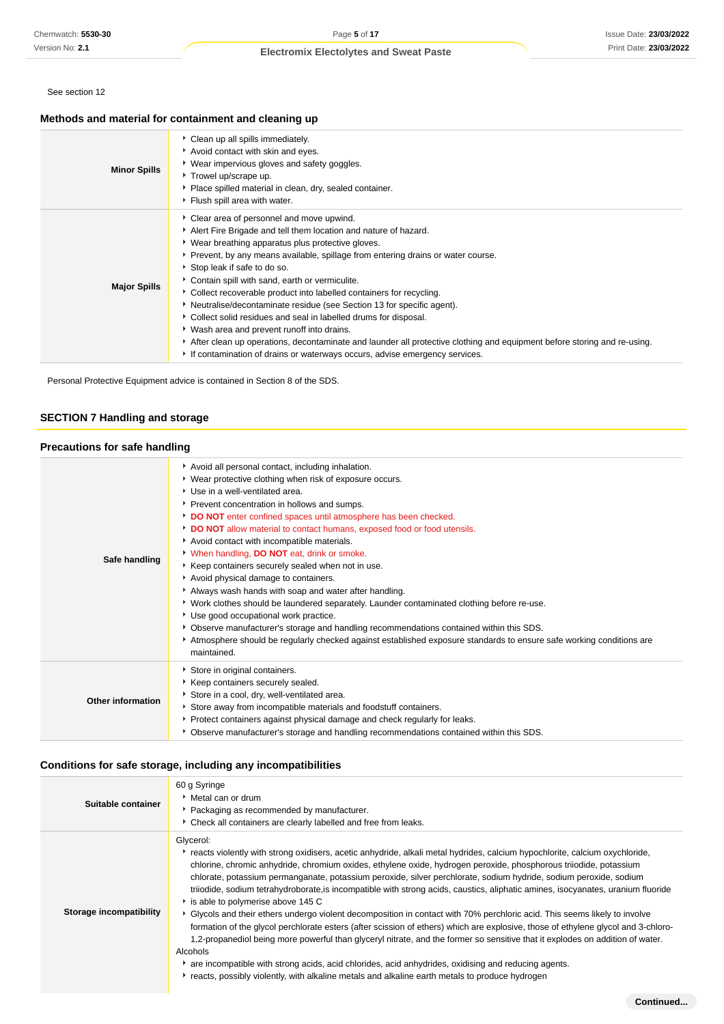See section 12

## **Methods and material for containment and cleaning up**

| <b>Minor Spills</b> | Clean up all spills immediately.<br>Avoid contact with skin and eyes.<br>▶ Wear impervious gloves and safety goggles.<br>Trowel up/scrape up.<br>• Place spilled material in clean, dry, sealed container.<br>Flush spill area with water.                                                                                                                                                                                                                                                                                                                                                                                                                                                                                                                                                                           |
|---------------------|----------------------------------------------------------------------------------------------------------------------------------------------------------------------------------------------------------------------------------------------------------------------------------------------------------------------------------------------------------------------------------------------------------------------------------------------------------------------------------------------------------------------------------------------------------------------------------------------------------------------------------------------------------------------------------------------------------------------------------------------------------------------------------------------------------------------|
| <b>Major Spills</b> | Clear area of personnel and move upwind.<br>Alert Fire Brigade and tell them location and nature of hazard.<br>• Wear breathing apparatus plus protective gloves.<br>Prevent, by any means available, spillage from entering drains or water course.<br>Stop leak if safe to do so.<br>Contain spill with sand, earth or vermiculite.<br>• Collect recoverable product into labelled containers for recycling.<br>• Neutralise/decontaminate residue (see Section 13 for specific agent).<br>Collect solid residues and seal in labelled drums for disposal.<br>• Wash area and prevent runoff into drains.<br>After clean up operations, decontaminate and launder all protective clothing and equipment before storing and re-using.<br>If contamination of drains or waterways occurs, advise emergency services. |

Personal Protective Equipment advice is contained in Section 8 of the SDS.

## **SECTION 7 Handling and storage**

## **Precautions for safe handling**

| Safe handling            | Avoid all personal contact, including inhalation.<br>• Wear protective clothing when risk of exposure occurs.<br>▶ Use in a well-ventilated area.<br>Prevent concentration in hollows and sumps.<br>DO NOT enter confined spaces until atmosphere has been checked.<br>DO NOT allow material to contact humans, exposed food or food utensils.<br>Avoid contact with incompatible materials.<br>When handling, DO NOT eat, drink or smoke.<br>▶ Keep containers securely sealed when not in use.<br>Avoid physical damage to containers.<br>Always wash hands with soap and water after handling.<br>• Work clothes should be laundered separately. Launder contaminated clothing before re-use.<br>Use good occupational work practice.<br>Observe manufacturer's storage and handling recommendations contained within this SDS.<br>Atmosphere should be regularly checked against established exposure standards to ensure safe working conditions are<br>maintained. |
|--------------------------|--------------------------------------------------------------------------------------------------------------------------------------------------------------------------------------------------------------------------------------------------------------------------------------------------------------------------------------------------------------------------------------------------------------------------------------------------------------------------------------------------------------------------------------------------------------------------------------------------------------------------------------------------------------------------------------------------------------------------------------------------------------------------------------------------------------------------------------------------------------------------------------------------------------------------------------------------------------------------|
| <b>Other information</b> | Store in original containers.<br>▶ Keep containers securely sealed.<br>Store in a cool, dry, well-ventilated area.<br>Store away from incompatible materials and foodstuff containers.<br>▶ Protect containers against physical damage and check regularly for leaks.<br>Observe manufacturer's storage and handling recommendations contained within this SDS.                                                                                                                                                                                                                                                                                                                                                                                                                                                                                                                                                                                                          |

## **Conditions for safe storage, including any incompatibilities**

| Suitable container      | 60 g Syringe<br>▸ Metal can or drum<br>• Packaging as recommended by manufacturer.<br>• Check all containers are clearly labelled and free from leaks.                                                                                                                                                                                                                                                                                                                                                                                                                                                                                                                                                                                                                                                                                                                                                                                                                                                                                                                                                                                                                                 |
|-------------------------|----------------------------------------------------------------------------------------------------------------------------------------------------------------------------------------------------------------------------------------------------------------------------------------------------------------------------------------------------------------------------------------------------------------------------------------------------------------------------------------------------------------------------------------------------------------------------------------------------------------------------------------------------------------------------------------------------------------------------------------------------------------------------------------------------------------------------------------------------------------------------------------------------------------------------------------------------------------------------------------------------------------------------------------------------------------------------------------------------------------------------------------------------------------------------------------|
| Storage incompatibility | Glycerol:<br>► reacts violently with strong oxidisers, acetic anhydride, alkali metal hydrides, calcium hypochlorite, calcium oxychloride,<br>chlorine, chromic anhydride, chromium oxides, ethylene oxide, hydrogen peroxide, phosphorous triiodide, potassium<br>chlorate, potassium permanganate, potassium peroxide, silver perchlorate, sodium hydride, sodium peroxide, sodium<br>triiodide, sodium tetrahydroborate, is incompatible with strong acids, caustics, aliphatic amines, isocyanates, uranium fluoride<br>is able to polymerise above 145 C<br>• Glycols and their ethers undergo violent decomposition in contact with 70% perchloric acid. This seems likely to involve<br>formation of the glycol perchlorate esters (after scission of ethers) which are explosive, those of ethylene glycol and 3-chloro-<br>1.2-propanediol being more powerful than glyceryl nitrate, and the former so sensitive that it explodes on addition of water.<br>Alcohols<br>are incompatible with strong acids, acid chlorides, acid anhydrides, oxidising and reducing agents.<br>reacts, possibly violently, with alkaline metals and alkaline earth metals to produce hydrogen |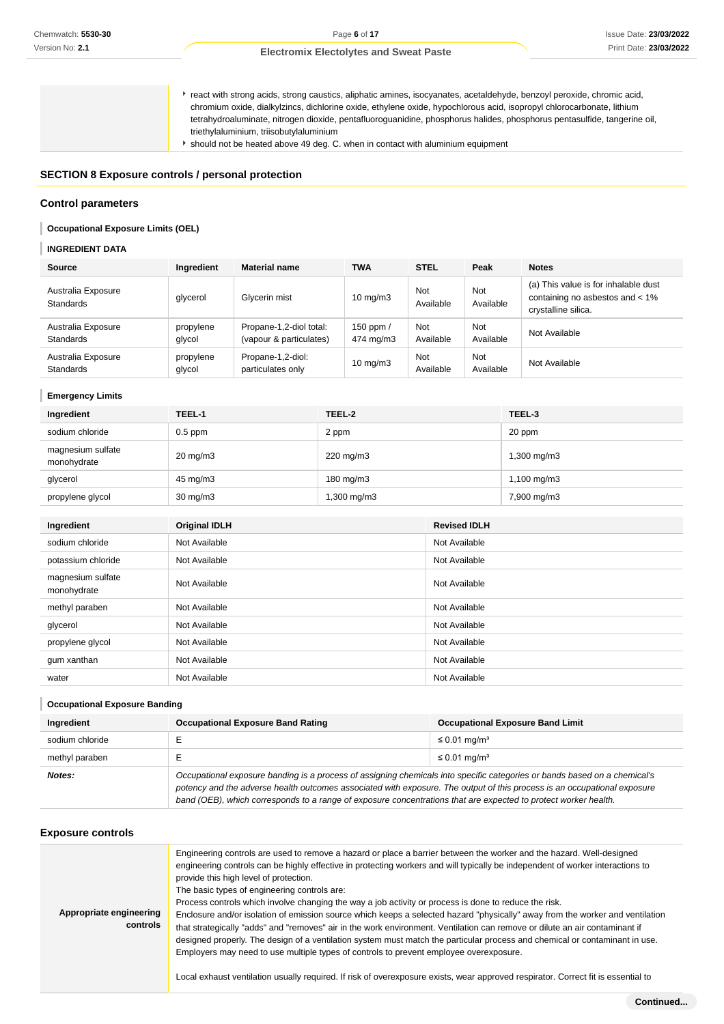react with strong acids, strong caustics, aliphatic amines, isocyanates, acetaldehyde, benzoyl peroxide, chromic acid, chromium oxide, dialkylzincs, dichlorine oxide, ethylene oxide, hypochlorous acid, isopropyl chlorocarbonate, lithium tetrahydroaluminate, nitrogen dioxide, pentafluoroguanidine, phosphorus halides, phosphorus pentasulfide, tangerine oil, triethylaluminium, triisobutylaluminium

should not be heated above 49 deg. C. when in contact with aluminium equipment

## **SECTION 8 Exposure controls / personal protection**

#### **Control parameters**

#### **Occupational Exposure Limits (OEL)**

### **INGREDIENT DATA**

| Source                                 | Ingredient          | <b>Material name</b>                               | TWA                    | <b>STEL</b>      | Peak                    | <b>Notes</b>                                                                                   |
|----------------------------------------|---------------------|----------------------------------------------------|------------------------|------------------|-------------------------|------------------------------------------------------------------------------------------------|
| Australia Exposure<br><b>Standards</b> | glycerol            | Glycerin mist                                      | $10 \text{ mg/m}$      | Not<br>Available | <b>Not</b><br>Available | (a) This value is for inhalable dust<br>containing no asbestos and < 1%<br>crystalline silica. |
| Australia Exposure<br><b>Standards</b> | propylene<br>glycol | Propane-1,2-diol total:<br>(vapour & particulates) | 150 ppm /<br>474 mg/m3 | Not<br>Available | <b>Not</b><br>Available | Not Available                                                                                  |
| Australia Exposure<br><b>Standards</b> | propylene<br>glycol | Propane-1,2-diol:<br>particulates only             | $10 \text{ mg/m}$      | Not<br>Available | <b>Not</b><br>Available | Not Available                                                                                  |

#### **Emergency Limits**

| Ingredient                       | TEEL-1              | TEEL-2      | TEEL-3      |
|----------------------------------|---------------------|-------------|-------------|
| sodium chloride                  | $0.5$ ppm           | 2 ppm       | 20 ppm      |
| magnesium sulfate<br>monohydrate | $20 \text{ mg/m}$ 3 | 220 mg/m3   | 1,300 mg/m3 |
| glycerol                         | 45 mg/m3            | 180 mg/m3   | 1,100 mg/m3 |
| propylene glycol                 | $30 \text{ mg/m}$   | 1,300 mg/m3 | 7,900 mg/m3 |

| Ingredient                       | <b>Original IDLH</b> | <b>Revised IDLH</b> |
|----------------------------------|----------------------|---------------------|
| sodium chloride                  | Not Available        | Not Available       |
| potassium chloride               | Not Available        | Not Available       |
| magnesium sulfate<br>monohydrate | Not Available        | Not Available       |
| methyl paraben                   | Not Available        | Not Available       |
| glycerol                         | Not Available        | Not Available       |
| propylene glycol                 | Not Available        | Not Available       |
| gum xanthan                      | Not Available        | Not Available       |
| water                            | Not Available        | Not Available       |

## **Occupational Exposure Banding Ingredient COCCUPATION COCCUPATION EXPOSURE BAND RATING COCUPATION COCCUPATION COCCUPATION CONCUPATION** sodium chloride E E is a contracted E ≤ 0.01 mg/m<sup>3</sup> methyl paraben  $E$  E ≤ 0.01 mg/m<sup>3</sup> **Notes:** Occupational exposure banding is a process of assigning chemicals into specific categories or bands based on a chemical's potency and the adverse health outcomes associated with exposure. The output of this process is an occupational exposure band (OEB), which corresponds to a range of exposure concentrations that are expected to protect worker health.

#### **Exposure controls**

| Appropriate engineering<br>controls | Engineering controls are used to remove a hazard or place a barrier between the worker and the hazard. Well-designed<br>engineering controls can be highly effective in protecting workers and will typically be independent of worker interactions to<br>provide this high level of protection.<br>The basic types of engineering controls are:<br>Process controls which involve changing the way a job activity or process is done to reduce the risk.<br>Enclosure and/or isolation of emission source which keeps a selected hazard "physically" away from the worker and ventilation<br>that strategically "adds" and "removes" air in the work environment. Ventilation can remove or dilute an air contaminant if<br>designed properly. The design of a ventilation system must match the particular process and chemical or contaminant in use.<br>Employers may need to use multiple types of controls to prevent employee overexposure.<br>Local exhaust ventilation usually required. If risk of overexposure exists, wear approved respirator. Correct fit is essential to |
|-------------------------------------|-----------------------------------------------------------------------------------------------------------------------------------------------------------------------------------------------------------------------------------------------------------------------------------------------------------------------------------------------------------------------------------------------------------------------------------------------------------------------------------------------------------------------------------------------------------------------------------------------------------------------------------------------------------------------------------------------------------------------------------------------------------------------------------------------------------------------------------------------------------------------------------------------------------------------------------------------------------------------------------------------------------------------------------------------------------------------------------------|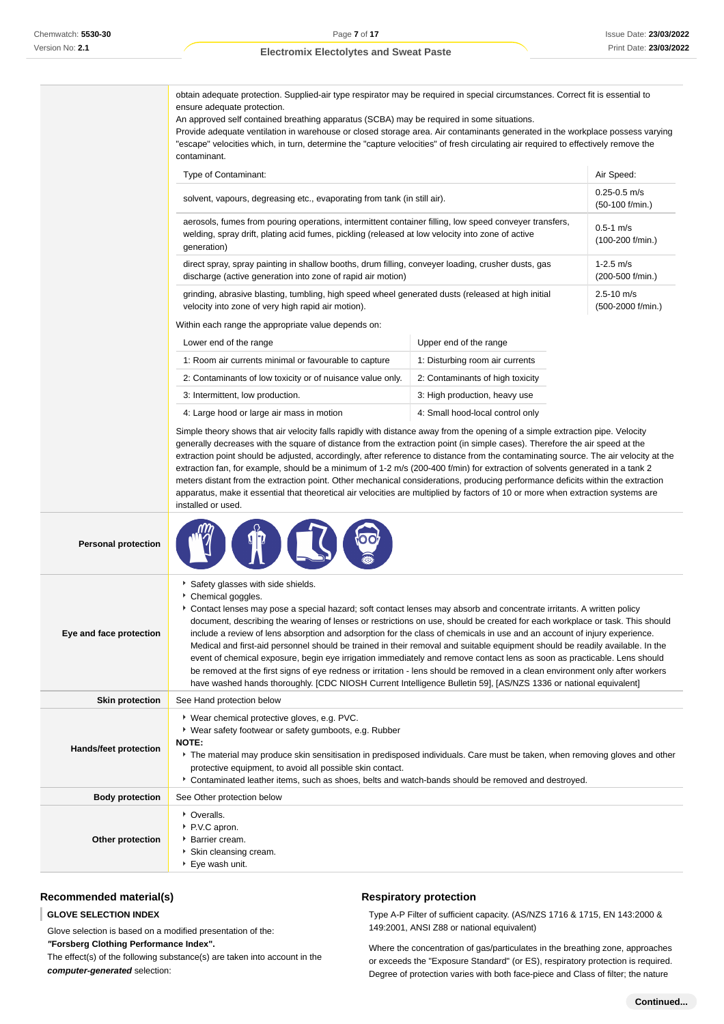obtain adequate protection. Supplied-air type respirator may be required in special circumstances. Correct fit is essential to ensure adequate protection.

An approved self contained breathing apparatus (SCBA) may be required in some situations.

Provide adequate ventilation in warehouse or closed storage area. Air contaminants generated in the workplace possess varying "escape" velocities which, in turn, determine the "capture velocities" of fresh circulating air required to effectively remove the contaminant.

| Type of Contaminant:                                                                                                                                                                                                      | Air Speed:                          |
|---------------------------------------------------------------------------------------------------------------------------------------------------------------------------------------------------------------------------|-------------------------------------|
| solvent, vapours, degreasing etc., evaporating from tank (in still air).                                                                                                                                                  | $0.25 - 0.5$ m/s<br>(50-100 f/min.) |
| aerosols, fumes from pouring operations, intermittent container filling, low speed conveyer transfers,<br>welding, spray drift, plating acid fumes, pickling (released at low velocity into zone of active<br>generation) | $0.5 - 1$ m/s<br>$(100-200$ f/min.) |
| direct spray, spray painting in shallow booths, drum filling, conveyer loading, crusher dusts, gas<br>discharge (active generation into zone of rapid air motion)                                                         | $1-2.5$ m/s<br>(200-500 f/min.)     |
| grinding, abrasive blasting, tumbling, high speed wheel generated dusts (released at high initial<br>velocity into zone of very high rapid air motion).                                                                   | $2.5 - 10$ m/s<br>(500-2000 f/min.) |
| Within each range the appropriate value depends on:                                                                                                                                                                       |                                     |

ch range the appropriate value depends on:

**曾中国** 

| Lower end of the range                                     | Upper end of the range           |
|------------------------------------------------------------|----------------------------------|
| 1: Room air currents minimal or favourable to capture      | 1: Disturbing room air currents  |
| 2: Contaminants of low toxicity or of nuisance value only. | 2: Contaminants of high toxicity |
| 3: Intermittent, low production.                           | 3: High production, heavy use    |
| 4: Large hood or large air mass in motion                  | 4: Small hood-local control only |

100

Simple theory shows that air velocity falls rapidly with distance away from the opening of a simple extraction pipe. Velocity generally decreases with the square of distance from the extraction point (in simple cases). Therefore the air speed at the extraction point should be adjusted, accordingly, after reference to distance from the contaminating source. The air velocity at the extraction fan, for example, should be a minimum of 1-2 m/s (200-400 f/min) for extraction of solvents generated in a tank 2 meters distant from the extraction point. Other mechanical considerations, producing performance deficits within the extraction apparatus, make it essential that theoretical air velocities are multiplied by factors of 10 or more when extraction systems are installed or used.

**Personal protection**

| Eye and face protection      | Safety glasses with side shields.<br>Chemical goggles.<br>Contact lenses may pose a special hazard; soft contact lenses may absorb and concentrate irritants. A written policy<br>document, describing the wearing of lenses or restrictions on use, should be created for each workplace or task. This should<br>include a review of lens absorption and adsorption for the class of chemicals in use and an account of injury experience.<br>Medical and first-aid personnel should be trained in their removal and suitable equipment should be readily available. In the<br>event of chemical exposure, begin eye irrigation immediately and remove contact lens as soon as practicable. Lens should<br>be removed at the first signs of eye redness or irritation - lens should be removed in a clean environment only after workers<br>have washed hands thoroughly. [CDC NIOSH Current Intelligence Bulletin 59], [AS/NZS 1336 or national equivalent] |
|------------------------------|---------------------------------------------------------------------------------------------------------------------------------------------------------------------------------------------------------------------------------------------------------------------------------------------------------------------------------------------------------------------------------------------------------------------------------------------------------------------------------------------------------------------------------------------------------------------------------------------------------------------------------------------------------------------------------------------------------------------------------------------------------------------------------------------------------------------------------------------------------------------------------------------------------------------------------------------------------------|
| <b>Skin protection</b>       | See Hand protection below                                                                                                                                                                                                                                                                                                                                                                                                                                                                                                                                                                                                                                                                                                                                                                                                                                                                                                                                     |
| <b>Hands/feet protection</b> | * Wear chemical protective gloves, e.g. PVC.<br>• Wear safety footwear or safety gumboots, e.g. Rubber<br><b>NOTE:</b><br>The material may produce skin sensitisation in predisposed individuals. Care must be taken, when removing gloves and other<br>protective equipment, to avoid all possible skin contact.<br>Contaminated leather items, such as shoes, belts and watch-bands should be removed and destroyed.                                                                                                                                                                                                                                                                                                                                                                                                                                                                                                                                        |
| <b>Body protection</b>       | See Other protection below                                                                                                                                                                                                                                                                                                                                                                                                                                                                                                                                                                                                                                                                                                                                                                                                                                                                                                                                    |
| Other protection             | • Overalls.<br>P.V.C apron.<br>▶ Barrier cream.<br>Skin cleansing cream.<br>▶ Eye wash unit.                                                                                                                                                                                                                                                                                                                                                                                                                                                                                                                                                                                                                                                                                                                                                                                                                                                                  |

## **Recommended material(s)**

#### **GLOVE SELECTION INDEX**

Glove selection is based on a modified presentation of the: **"Forsberg Clothing Performance Index".** The effect(s) of the following substance(s) are taken into account in the **computer-generated** selection:

### **Respiratory protection**

Type A-P Filter of sufficient capacity. (AS/NZS 1716 & 1715, EN 143:2000 & 149:2001, ANSI Z88 or national equivalent)

Where the concentration of gas/particulates in the breathing zone, approaches or exceeds the "Exposure Standard" (or ES), respiratory protection is required. Degree of protection varies with both face-piece and Class of filter; the nature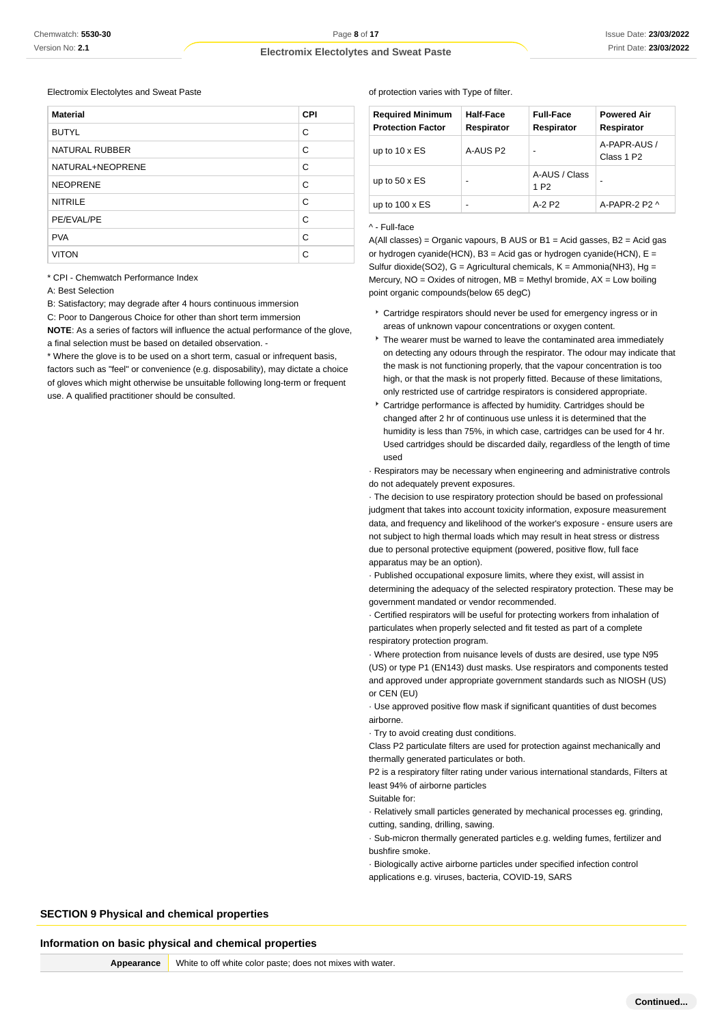Electromix Electolytes and Sweat Paste

| <b>Material</b>       | <b>CPI</b> |
|-----------------------|------------|
| <b>BUTYL</b>          | C          |
| <b>NATURAL RUBBER</b> | C          |
| NATURAL+NEOPRENE      | C          |
| <b>NEOPRENE</b>       | C          |
| <b>NITRILE</b>        | C          |
| PE/EVAL/PE            | C          |
| <b>PVA</b>            | C          |
| <b>VITON</b>          | C          |

\* CPI - Chemwatch Performance Index

A: Best Selection

B: Satisfactory; may degrade after 4 hours continuous immersion

C: Poor to Dangerous Choice for other than short term immersion

**NOTE**: As a series of factors will influence the actual performance of the glove, a final selection must be based on detailed observation. -

\* Where the glove is to be used on a short term, casual or infrequent basis,

factors such as "feel" or convenience (e.g. disposability), may dictate a choice of gloves which might otherwise be unsuitable following long-term or frequent use. A qualified practitioner should be consulted.

#### of protection varies with Type of filter.

| <b>Required Minimum</b><br><b>Protection Factor</b> | Half-Face<br>Respirator | <b>Full-Face</b><br>Respirator    | <b>Powered Air</b><br>Respirator       |
|-----------------------------------------------------|-------------------------|-----------------------------------|----------------------------------------|
| up to $10 \times ES$                                | A-AUS P2                | -                                 | A-PAPR-AUS /<br>Class 1 P <sub>2</sub> |
| up to $50 \times ES$                                | -                       | A-AUS / Class<br>1 P <sub>2</sub> |                                        |
| up to $100 \times ES$                               | -                       | $A-2P2$                           | $A-PAPR-2P2A$                          |

#### ^ - Full-face

 $A(All classes) = Organic vapours, B AUS or B1 = Acid gases, B2 = Acid gas$ or hydrogen cyanide(HCN),  $B3 = Acid$  gas or hydrogen cyanide(HCN),  $E =$ Sulfur dioxide(SO2),  $G =$  Agricultural chemicals,  $K =$  Ammonia(NH3), Hg = Mercury, NO = Oxides of nitrogen, MB = Methyl bromide, AX = Low boiling point organic compounds(below 65 degC)

- Cartridge respirators should never be used for emergency ingress or in areas of unknown vapour concentrations or oxygen content.
- $\overline{\phantom{a}}$  The wearer must be warned to leave the contaminated area immediately on detecting any odours through the respirator. The odour may indicate that the mask is not functioning properly, that the vapour concentration is too high, or that the mask is not properly fitted. Because of these limitations, only restricted use of cartridge respirators is considered appropriate.
- Cartridge performance is affected by humidity. Cartridges should be changed after 2 hr of continuous use unless it is determined that the humidity is less than 75%, in which case, cartridges can be used for 4 hr. Used cartridges should be discarded daily, regardless of the length of time used

· Respirators may be necessary when engineering and administrative controls do not adequately prevent exposures.

· The decision to use respiratory protection should be based on professional judgment that takes into account toxicity information, exposure measurement data, and frequency and likelihood of the worker's exposure - ensure users are not subject to high thermal loads which may result in heat stress or distress due to personal protective equipment (powered, positive flow, full face apparatus may be an option).

· Published occupational exposure limits, where they exist, will assist in determining the adequacy of the selected respiratory protection. These may be government mandated or vendor recommended.

· Certified respirators will be useful for protecting workers from inhalation of particulates when properly selected and fit tested as part of a complete respiratory protection program.

· Where protection from nuisance levels of dusts are desired, use type N95 (US) or type P1 (EN143) dust masks. Use respirators and components tested and approved under appropriate government standards such as NIOSH (US) or CEN (EU)

· Use approved positive flow mask if significant quantities of dust becomes airborne.

· Try to avoid creating dust conditions.

Class P2 particulate filters are used for protection against mechanically and thermally generated particulates or both.

P2 is a respiratory filter rating under various international standards, Filters at least 94% of airborne particles

Suitable for:

· Relatively small particles generated by mechanical processes eg. grinding, cutting, sanding, drilling, sawing.

· Sub-micron thermally generated particles e.g. welding fumes, fertilizer and bushfire smoke.

· Biologically active airborne particles under specified infection control applications e.g. viruses, bacteria, COVID-19, SARS

**SECTION 9 Physical and chemical properties**

#### **Information on basic physical and chemical properties**

**Appearance** White to off white color paste; does not mixes with water.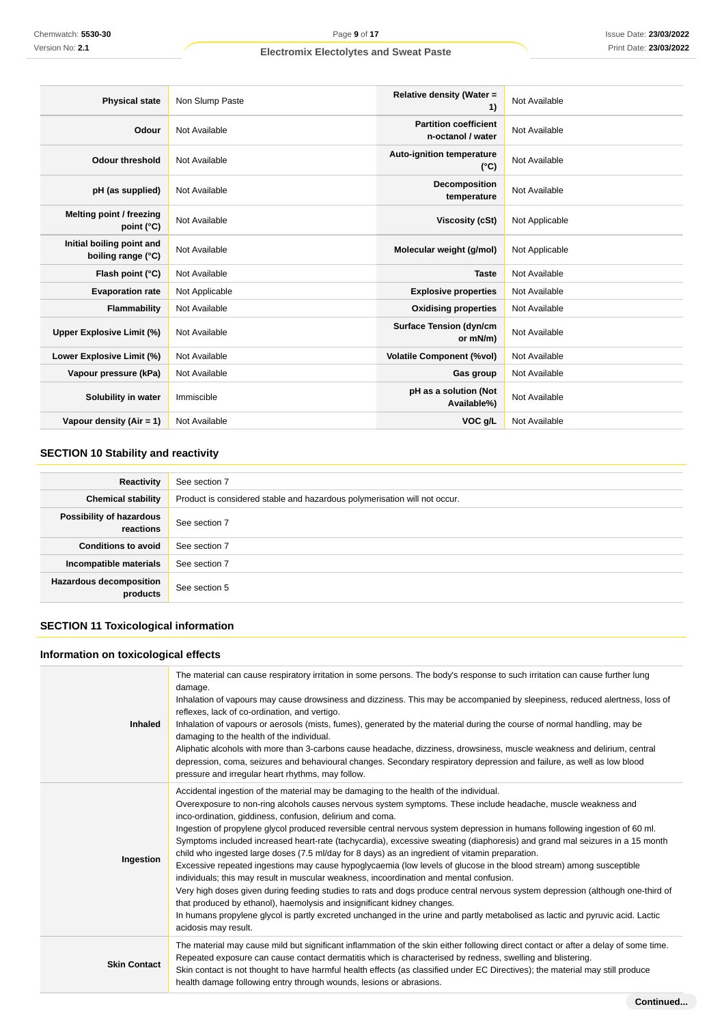| <b>Physical state</b>                           | Non Slump Paste | Relative density (Water =<br>1)                   | Not Available  |
|-------------------------------------------------|-----------------|---------------------------------------------------|----------------|
| Odour                                           | Not Available   | <b>Partition coefficient</b><br>n-octanol / water | Not Available  |
| <b>Odour threshold</b>                          | Not Available   | Auto-ignition temperature<br>$(^{\circ}C)$        | Not Available  |
| pH (as supplied)                                | Not Available   | Decomposition<br>temperature                      | Not Available  |
| Melting point / freezing<br>point (°C)          | Not Available   | <b>Viscosity (cSt)</b>                            | Not Applicable |
| Initial boiling point and<br>boiling range (°C) | Not Available   | Molecular weight (g/mol)                          | Not Applicable |
| Flash point (°C)                                | Not Available   | <b>Taste</b>                                      | Not Available  |
| <b>Evaporation rate</b>                         | Not Applicable  | <b>Explosive properties</b>                       | Not Available  |
| Flammability                                    | Not Available   | <b>Oxidising properties</b>                       | Not Available  |
| <b>Upper Explosive Limit (%)</b>                | Not Available   | <b>Surface Tension (dyn/cm</b><br>or mN/m)        | Not Available  |
| Lower Explosive Limit (%)                       | Not Available   | <b>Volatile Component (%vol)</b>                  | Not Available  |
| Vapour pressure (kPa)                           | Not Available   | Gas group                                         | Not Available  |
| Solubility in water                             | Immiscible      | pH as a solution (Not<br>Available%)              | Not Available  |
| Vapour density (Air = 1)                        | Not Available   | VOC g/L                                           | Not Available  |

## **SECTION 10 Stability and reactivity**

| Reactivity                                 | See section 7                                                             |
|--------------------------------------------|---------------------------------------------------------------------------|
| <b>Chemical stability</b>                  | Product is considered stable and hazardous polymerisation will not occur. |
| Possibility of hazardous<br>reactions      | See section 7                                                             |
| <b>Conditions to avoid</b>                 | See section 7                                                             |
| Incompatible materials                     | See section 7                                                             |
| <b>Hazardous decomposition</b><br>products | See section 5                                                             |

## **SECTION 11 Toxicological information**

## **Information on toxicological effects**

| <b>Inhaled</b>      | The material can cause respiratory irritation in some persons. The body's response to such irritation can cause further lung<br>damage.<br>Inhalation of vapours may cause drowsiness and dizziness. This may be accompanied by sleepiness, reduced alertness, loss of<br>reflexes, lack of co-ordination, and vertigo.<br>Inhalation of vapours or aerosols (mists, fumes), generated by the material during the course of normal handling, may be<br>damaging to the health of the individual.<br>Aliphatic alcohols with more than 3-carbons cause headache, dizziness, drowsiness, muscle weakness and delirium, central<br>depression, coma, seizures and behavioural changes. Secondary respiratory depression and failure, as well as low blood<br>pressure and irregular heart rhythms, may follow.                                                                                                                                                                                                                                                                                                                                                                                                                   |
|---------------------|-------------------------------------------------------------------------------------------------------------------------------------------------------------------------------------------------------------------------------------------------------------------------------------------------------------------------------------------------------------------------------------------------------------------------------------------------------------------------------------------------------------------------------------------------------------------------------------------------------------------------------------------------------------------------------------------------------------------------------------------------------------------------------------------------------------------------------------------------------------------------------------------------------------------------------------------------------------------------------------------------------------------------------------------------------------------------------------------------------------------------------------------------------------------------------------------------------------------------------|
| Ingestion           | Accidental ingestion of the material may be damaging to the health of the individual.<br>Overexposure to non-ring alcohols causes nervous system symptoms. These include headache, muscle weakness and<br>inco-ordination, giddiness, confusion, delirium and coma.<br>Ingestion of propylene glycol produced reversible central nervous system depression in humans following ingestion of 60 ml.<br>Symptoms included increased heart-rate (tachycardia), excessive sweating (diaphoresis) and grand mal seizures in a 15 month<br>child who ingested large doses (7.5 ml/day for 8 days) as an ingredient of vitamin preparation.<br>Excessive repeated ingestions may cause hypoglycaemia (low levels of glucose in the blood stream) among susceptible<br>individuals; this may result in muscular weakness, incoordination and mental confusion.<br>Very high doses given during feeding studies to rats and dogs produce central nervous system depression (although one-third of<br>that produced by ethanol), haemolysis and insignificant kidney changes.<br>In humans propylene glycol is partly excreted unchanged in the urine and partly metabolised as lactic and pyruvic acid. Lactic<br>acidosis may result. |
| <b>Skin Contact</b> | The material may cause mild but significant inflammation of the skin either following direct contact or after a delay of some time.<br>Repeated exposure can cause contact dermatitis which is characterised by redness, swelling and blistering.<br>Skin contact is not thought to have harmful health effects (as classified under EC Directives); the material may still produce<br>health damage following entry through wounds, lesions or abrasions.                                                                                                                                                                                                                                                                                                                                                                                                                                                                                                                                                                                                                                                                                                                                                                    |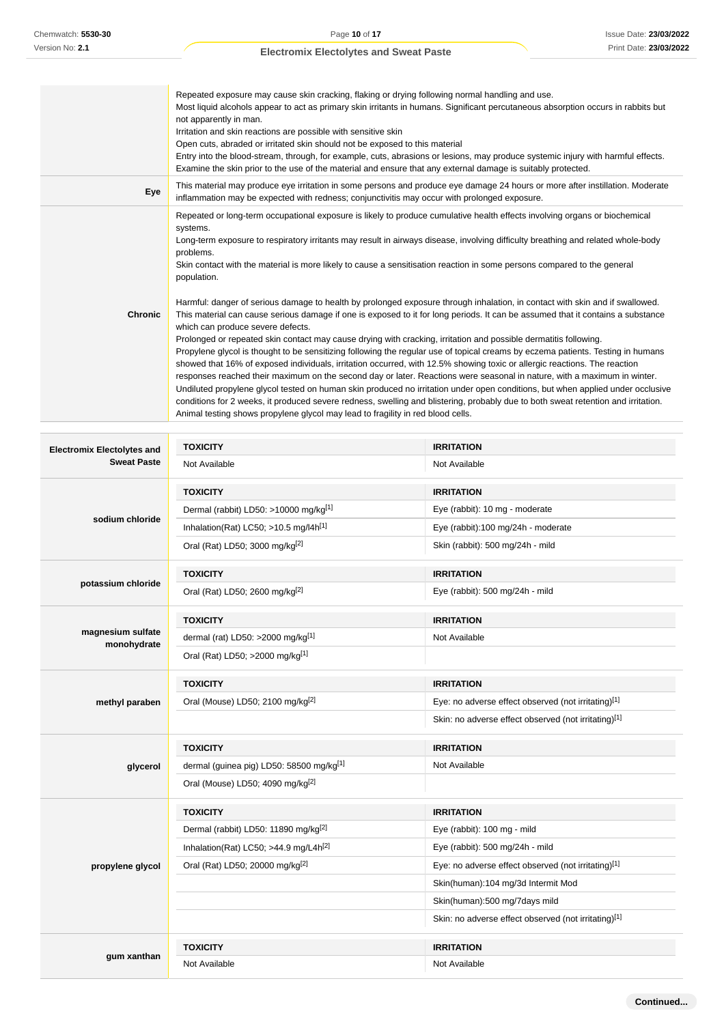|                | Repeated exposure may cause skin cracking, flaking or drying following normal handling and use.<br>Most liquid alcohols appear to act as primary skin irritants in humans. Significant percutaneous absorption occurs in rabbits but<br>not apparently in man.<br>Irritation and skin reactions are possible with sensitive skin<br>Open cuts, abraded or irritated skin should not be exposed to this material<br>Entry into the blood-stream, through, for example, cuts, abrasions or lesions, may produce systemic injury with harmful effects.<br>Examine the skin prior to the use of the material and ensure that any external damage is suitably protected.                                                                                                                                                                                                                                                                                                                                                                                                                                                                                                            |
|----------------|--------------------------------------------------------------------------------------------------------------------------------------------------------------------------------------------------------------------------------------------------------------------------------------------------------------------------------------------------------------------------------------------------------------------------------------------------------------------------------------------------------------------------------------------------------------------------------------------------------------------------------------------------------------------------------------------------------------------------------------------------------------------------------------------------------------------------------------------------------------------------------------------------------------------------------------------------------------------------------------------------------------------------------------------------------------------------------------------------------------------------------------------------------------------------------|
| Eye            | This material may produce eye irritation in some persons and produce eye damage 24 hours or more after instillation. Moderate<br>inflammation may be expected with redness; conjunctivitis may occur with prolonged exposure.                                                                                                                                                                                                                                                                                                                                                                                                                                                                                                                                                                                                                                                                                                                                                                                                                                                                                                                                                  |
|                | Repeated or long-term occupational exposure is likely to produce cumulative health effects involving organs or biochemical<br>systems.<br>Long-term exposure to respiratory irritants may result in airways disease, involving difficulty breathing and related whole-body<br>problems.<br>Skin contact with the material is more likely to cause a sensitisation reaction in some persons compared to the general<br>population.                                                                                                                                                                                                                                                                                                                                                                                                                                                                                                                                                                                                                                                                                                                                              |
| <b>Chronic</b> | Harmful: danger of serious damage to health by prolonged exposure through inhalation, in contact with skin and if swallowed.<br>This material can cause serious damage if one is exposed to it for long periods. It can be assumed that it contains a substance<br>which can produce severe defects.<br>Prolonged or repeated skin contact may cause drying with cracking, irritation and possible dermatitis following.<br>Propylene glycol is thought to be sensitizing following the regular use of topical creams by eczema patients. Testing in humans<br>showed that 16% of exposed individuals, irritation occurred, with 12.5% showing toxic or allergic reactions. The reaction<br>responses reached their maximum on the second day or later. Reactions were seasonal in nature, with a maximum in winter.<br>Undiluted propylene glycol tested on human skin produced no irritation under open conditions, but when applied under occlusive<br>conditions for 2 weeks, it produced severe redness, swelling and blistering, probably due to both sweat retention and irritation.<br>Animal testing shows propylene glycol may lead to fragility in red blood cells. |

| <b>Electromix Electolytes and</b> | <b>TOXICITY</b>                                   | <b>IRRITATION</b>                                    |
|-----------------------------------|---------------------------------------------------|------------------------------------------------------|
| <b>Sweat Paste</b>                | Not Available                                     | Not Available                                        |
|                                   | <b>TOXICITY</b>                                   | <b>IRRITATION</b>                                    |
|                                   | Dermal (rabbit) LD50: >10000 mg/kg <sup>[1]</sup> | Eye (rabbit): 10 mg - moderate                       |
| sodium chloride                   | Inhalation(Rat) LC50; >10.5 mg/l4h <sup>[1]</sup> | Eye (rabbit):100 mg/24h - moderate                   |
|                                   | Oral (Rat) LD50; 3000 mg/kg <sup>[2]</sup>        | Skin (rabbit): 500 mg/24h - mild                     |
|                                   | <b>TOXICITY</b>                                   | <b>IRRITATION</b>                                    |
| potassium chloride                | Oral (Rat) LD50; 2600 mg/kg <sup>[2]</sup>        | Eye (rabbit): 500 mg/24h - mild                      |
|                                   | <b>TOXICITY</b>                                   | <b>IRRITATION</b>                                    |
| magnesium sulfate<br>monohydrate  | dermal (rat) LD50: >2000 mg/kg[1]                 | Not Available                                        |
|                                   | Oral (Rat) LD50; >2000 mg/kg[1]                   |                                                      |
|                                   | <b>TOXICITY</b>                                   | <b>IRRITATION</b>                                    |
| methyl paraben                    | Oral (Mouse) LD50; 2100 mg/kg <sup>[2]</sup>      | Eye: no adverse effect observed (not irritating)[1]  |
|                                   |                                                   | Skin: no adverse effect observed (not irritating)[1] |
|                                   | <b>TOXICITY</b>                                   | <b>IRRITATION</b>                                    |
| glycerol                          | dermal (guinea pig) LD50: 58500 mg/kg[1]          | Not Available                                        |
|                                   | Oral (Mouse) LD50; 4090 mg/kg <sup>[2]</sup>      |                                                      |
|                                   | <b>TOXICITY</b>                                   | <b>IRRITATION</b>                                    |
|                                   | Dermal (rabbit) LD50: 11890 mg/kg <sup>[2]</sup>  | Eye (rabbit): 100 mg - mild                          |
|                                   | Inhalation(Rat) LC50; >44.9 mg/L4h <sup>[2]</sup> | Eye (rabbit): 500 mg/24h - mild                      |
| propylene glycol                  | Oral (Rat) LD50; 20000 mg/kg <sup>[2]</sup>       | Eye: no adverse effect observed (not irritating)[1]  |
|                                   |                                                   | Skin(human):104 mg/3d Intermit Mod                   |
|                                   |                                                   | Skin(human):500 mg/7days mild                        |
|                                   |                                                   | Skin: no adverse effect observed (not irritating)[1] |
|                                   | <b>TOXICITY</b>                                   | <b>IRRITATION</b>                                    |
| gum xanthan                       | Not Available                                     | Not Available                                        |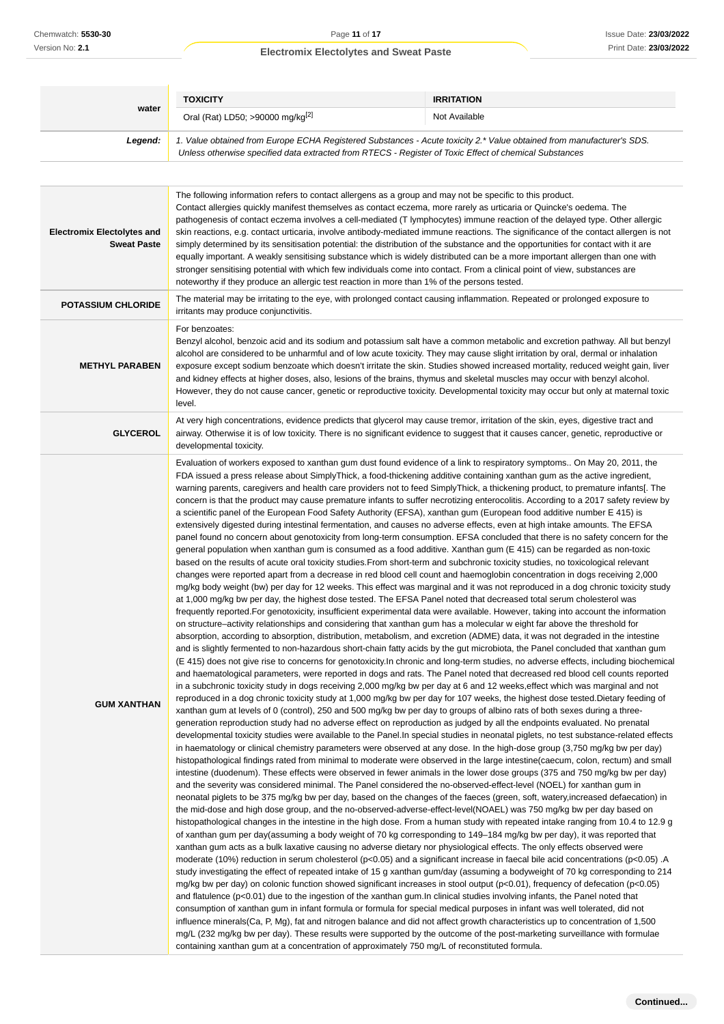| Chemwatch: 5530-30                                      | Page 11 of 17                                                                                                                                                                                                                                                                                                                                                                                                                                                                                                                                                                                                                                                                                                                                                                                                                                                                                                                                                                                                                                                                                                                                                                                                                                                                                                                                                                                                                                                                                                                                                                                                                                                                                                                                                                                                                                                                                                                                                                                                                                                                                                                                                                                                                                                                                                                                                                                                                                                                                                                                                                                                                                                                                                                                                                                                                                                                                                                                                                                                                                                                                                                                                                                                                                                                                                                                                                                                                                                                                                                                                                                                                                                                                                                                                                                                                                                                                                                                                                                                                                                                                                                                                                                                                                                                                                                                                                                                                                                                                                                                                                                                                                                                                                                                                                                                                                                                                                                                                                                                                                                   | <b>Issue Date: 23/03/2022</b>                                                                                                                                                                                                                                                                                                                                                                                                                                                                                                                                                                                                                                          |  |
|---------------------------------------------------------|-----------------------------------------------------------------------------------------------------------------------------------------------------------------------------------------------------------------------------------------------------------------------------------------------------------------------------------------------------------------------------------------------------------------------------------------------------------------------------------------------------------------------------------------------------------------------------------------------------------------------------------------------------------------------------------------------------------------------------------------------------------------------------------------------------------------------------------------------------------------------------------------------------------------------------------------------------------------------------------------------------------------------------------------------------------------------------------------------------------------------------------------------------------------------------------------------------------------------------------------------------------------------------------------------------------------------------------------------------------------------------------------------------------------------------------------------------------------------------------------------------------------------------------------------------------------------------------------------------------------------------------------------------------------------------------------------------------------------------------------------------------------------------------------------------------------------------------------------------------------------------------------------------------------------------------------------------------------------------------------------------------------------------------------------------------------------------------------------------------------------------------------------------------------------------------------------------------------------------------------------------------------------------------------------------------------------------------------------------------------------------------------------------------------------------------------------------------------------------------------------------------------------------------------------------------------------------------------------------------------------------------------------------------------------------------------------------------------------------------------------------------------------------------------------------------------------------------------------------------------------------------------------------------------------------------------------------------------------------------------------------------------------------------------------------------------------------------------------------------------------------------------------------------------------------------------------------------------------------------------------------------------------------------------------------------------------------------------------------------------------------------------------------------------------------------------------------------------------------------------------------------------------------------------------------------------------------------------------------------------------------------------------------------------------------------------------------------------------------------------------------------------------------------------------------------------------------------------------------------------------------------------------------------------------------------------------------------------------------------------------------------------------------------------------------------------------------------------------------------------------------------------------------------------------------------------------------------------------------------------------------------------------------------------------------------------------------------------------------------------------------------------------------------------------------------------------------------------------------------------------------------------------------------------------------------------------------------------------------------------------------------------------------------------------------------------------------------------------------------------------------------------------------------------------------------------------------------------------------------------------------------------------------------------------------------------------------------------------------------------------------------------------------------------------------------------|------------------------------------------------------------------------------------------------------------------------------------------------------------------------------------------------------------------------------------------------------------------------------------------------------------------------------------------------------------------------------------------------------------------------------------------------------------------------------------------------------------------------------------------------------------------------------------------------------------------------------------------------------------------------|--|
| Version No: 2.1                                         | <b>Electromix Electolytes and Sweat Paste</b>                                                                                                                                                                                                                                                                                                                                                                                                                                                                                                                                                                                                                                                                                                                                                                                                                                                                                                                                                                                                                                                                                                                                                                                                                                                                                                                                                                                                                                                                                                                                                                                                                                                                                                                                                                                                                                                                                                                                                                                                                                                                                                                                                                                                                                                                                                                                                                                                                                                                                                                                                                                                                                                                                                                                                                                                                                                                                                                                                                                                                                                                                                                                                                                                                                                                                                                                                                                                                                                                                                                                                                                                                                                                                                                                                                                                                                                                                                                                                                                                                                                                                                                                                                                                                                                                                                                                                                                                                                                                                                                                                                                                                                                                                                                                                                                                                                                                                                                                                                                                                   | Print Date: 23/03/2022                                                                                                                                                                                                                                                                                                                                                                                                                                                                                                                                                                                                                                                 |  |
|                                                         |                                                                                                                                                                                                                                                                                                                                                                                                                                                                                                                                                                                                                                                                                                                                                                                                                                                                                                                                                                                                                                                                                                                                                                                                                                                                                                                                                                                                                                                                                                                                                                                                                                                                                                                                                                                                                                                                                                                                                                                                                                                                                                                                                                                                                                                                                                                                                                                                                                                                                                                                                                                                                                                                                                                                                                                                                                                                                                                                                                                                                                                                                                                                                                                                                                                                                                                                                                                                                                                                                                                                                                                                                                                                                                                                                                                                                                                                                                                                                                                                                                                                                                                                                                                                                                                                                                                                                                                                                                                                                                                                                                                                                                                                                                                                                                                                                                                                                                                                                                                                                                                                 |                                                                                                                                                                                                                                                                                                                                                                                                                                                                                                                                                                                                                                                                        |  |
|                                                         | <b>TOXICITY</b>                                                                                                                                                                                                                                                                                                                                                                                                                                                                                                                                                                                                                                                                                                                                                                                                                                                                                                                                                                                                                                                                                                                                                                                                                                                                                                                                                                                                                                                                                                                                                                                                                                                                                                                                                                                                                                                                                                                                                                                                                                                                                                                                                                                                                                                                                                                                                                                                                                                                                                                                                                                                                                                                                                                                                                                                                                                                                                                                                                                                                                                                                                                                                                                                                                                                                                                                                                                                                                                                                                                                                                                                                                                                                                                                                                                                                                                                                                                                                                                                                                                                                                                                                                                                                                                                                                                                                                                                                                                                                                                                                                                                                                                                                                                                                                                                                                                                                                                                                                                                                                                 | <b>IRRITATION</b>                                                                                                                                                                                                                                                                                                                                                                                                                                                                                                                                                                                                                                                      |  |
| water                                                   | Oral (Rat) LD50; >90000 mg/kg <sup>[2]</sup>                                                                                                                                                                                                                                                                                                                                                                                                                                                                                                                                                                                                                                                                                                                                                                                                                                                                                                                                                                                                                                                                                                                                                                                                                                                                                                                                                                                                                                                                                                                                                                                                                                                                                                                                                                                                                                                                                                                                                                                                                                                                                                                                                                                                                                                                                                                                                                                                                                                                                                                                                                                                                                                                                                                                                                                                                                                                                                                                                                                                                                                                                                                                                                                                                                                                                                                                                                                                                                                                                                                                                                                                                                                                                                                                                                                                                                                                                                                                                                                                                                                                                                                                                                                                                                                                                                                                                                                                                                                                                                                                                                                                                                                                                                                                                                                                                                                                                                                                                                                                                    | Not Available                                                                                                                                                                                                                                                                                                                                                                                                                                                                                                                                                                                                                                                          |  |
| Legend:                                                 |                                                                                                                                                                                                                                                                                                                                                                                                                                                                                                                                                                                                                                                                                                                                                                                                                                                                                                                                                                                                                                                                                                                                                                                                                                                                                                                                                                                                                                                                                                                                                                                                                                                                                                                                                                                                                                                                                                                                                                                                                                                                                                                                                                                                                                                                                                                                                                                                                                                                                                                                                                                                                                                                                                                                                                                                                                                                                                                                                                                                                                                                                                                                                                                                                                                                                                                                                                                                                                                                                                                                                                                                                                                                                                                                                                                                                                                                                                                                                                                                                                                                                                                                                                                                                                                                                                                                                                                                                                                                                                                                                                                                                                                                                                                                                                                                                                                                                                                                                                                                                                                                 | 1. Value obtained from Europe ECHA Registered Substances - Acute toxicity 2.* Value obtained from manufacturer's SDS.                                                                                                                                                                                                                                                                                                                                                                                                                                                                                                                                                  |  |
|                                                         | Unless otherwise specified data extracted from RTECS - Register of Toxic Effect of chemical Substances                                                                                                                                                                                                                                                                                                                                                                                                                                                                                                                                                                                                                                                                                                                                                                                                                                                                                                                                                                                                                                                                                                                                                                                                                                                                                                                                                                                                                                                                                                                                                                                                                                                                                                                                                                                                                                                                                                                                                                                                                                                                                                                                                                                                                                                                                                                                                                                                                                                                                                                                                                                                                                                                                                                                                                                                                                                                                                                                                                                                                                                                                                                                                                                                                                                                                                                                                                                                                                                                                                                                                                                                                                                                                                                                                                                                                                                                                                                                                                                                                                                                                                                                                                                                                                                                                                                                                                                                                                                                                                                                                                                                                                                                                                                                                                                                                                                                                                                                                          |                                                                                                                                                                                                                                                                                                                                                                                                                                                                                                                                                                                                                                                                        |  |
|                                                         |                                                                                                                                                                                                                                                                                                                                                                                                                                                                                                                                                                                                                                                                                                                                                                                                                                                                                                                                                                                                                                                                                                                                                                                                                                                                                                                                                                                                                                                                                                                                                                                                                                                                                                                                                                                                                                                                                                                                                                                                                                                                                                                                                                                                                                                                                                                                                                                                                                                                                                                                                                                                                                                                                                                                                                                                                                                                                                                                                                                                                                                                                                                                                                                                                                                                                                                                                                                                                                                                                                                                                                                                                                                                                                                                                                                                                                                                                                                                                                                                                                                                                                                                                                                                                                                                                                                                                                                                                                                                                                                                                                                                                                                                                                                                                                                                                                                                                                                                                                                                                                                                 |                                                                                                                                                                                                                                                                                                                                                                                                                                                                                                                                                                                                                                                                        |  |
| <b>Electromix Electolytes and</b><br><b>Sweat Paste</b> | The following information refers to contact allergens as a group and may not be specific to this product.<br>Contact allergies quickly manifest themselves as contact eczema, more rarely as urticaria or Quincke's oedema. The<br>pathogenesis of contact eczema involves a cell-mediated (T lymphocytes) immune reaction of the delayed type. Other allergic<br>skin reactions, e.g. contact urticaria, involve antibody-mediated immune reactions. The significance of the contact allergen is not<br>simply determined by its sensitisation potential: the distribution of the substance and the opportunities for contact with it are<br>equally important. A weakly sensitising substance which is widely distributed can be a more important allergen than one with<br>stronger sensitising potential with which few individuals come into contact. From a clinical point of view, substances are<br>noteworthy if they produce an allergic test reaction in more than 1% of the persons tested.                                                                                                                                                                                                                                                                                                                                                                                                                                                                                                                                                                                                                                                                                                                                                                                                                                                                                                                                                                                                                                                                                                                                                                                                                                                                                                                                                                                                                                                                                                                                                                                                                                                                                                                                                                                                                                                                                                                                                                                                                                                                                                                                                                                                                                                                                                                                                                                                                                                                                                                                                                                                                                                                                                                                                                                                                                                                                                                                                                                                                                                                                                                                                                                                                                                                                                                                                                                                                                                                                                                                                                                                                                                                                                                                                                                                                                                                                                                                                                                                                                                         |                                                                                                                                                                                                                                                                                                                                                                                                                                                                                                                                                                                                                                                                        |  |
| <b>POTASSIUM CHLORIDE</b>                               | irritants may produce conjunctivitis.                                                                                                                                                                                                                                                                                                                                                                                                                                                                                                                                                                                                                                                                                                                                                                                                                                                                                                                                                                                                                                                                                                                                                                                                                                                                                                                                                                                                                                                                                                                                                                                                                                                                                                                                                                                                                                                                                                                                                                                                                                                                                                                                                                                                                                                                                                                                                                                                                                                                                                                                                                                                                                                                                                                                                                                                                                                                                                                                                                                                                                                                                                                                                                                                                                                                                                                                                                                                                                                                                                                                                                                                                                                                                                                                                                                                                                                                                                                                                                                                                                                                                                                                                                                                                                                                                                                                                                                                                                                                                                                                                                                                                                                                                                                                                                                                                                                                                                                                                                                                                           | The material may be irritating to the eye, with prolonged contact causing inflammation. Repeated or prolonged exposure to                                                                                                                                                                                                                                                                                                                                                                                                                                                                                                                                              |  |
| <b>METHYL PARABEN</b>                                   | For benzoates:<br>level.                                                                                                                                                                                                                                                                                                                                                                                                                                                                                                                                                                                                                                                                                                                                                                                                                                                                                                                                                                                                                                                                                                                                                                                                                                                                                                                                                                                                                                                                                                                                                                                                                                                                                                                                                                                                                                                                                                                                                                                                                                                                                                                                                                                                                                                                                                                                                                                                                                                                                                                                                                                                                                                                                                                                                                                                                                                                                                                                                                                                                                                                                                                                                                                                                                                                                                                                                                                                                                                                                                                                                                                                                                                                                                                                                                                                                                                                                                                                                                                                                                                                                                                                                                                                                                                                                                                                                                                                                                                                                                                                                                                                                                                                                                                                                                                                                                                                                                                                                                                                                                        | Benzyl alcohol, benzoic acid and its sodium and potassium salt have a common metabolic and excretion pathway. All but benzyl<br>alcohol are considered to be unharmful and of low acute toxicity. They may cause slight irritation by oral, dermal or inhalation<br>exposure except sodium benzoate which doesn't irritate the skin. Studies showed increased mortality, reduced weight gain, liver<br>and kidney effects at higher doses, also, lesions of the brains, thymus and skeletal muscles may occur with benzyl alcohol.<br>However, they do not cause cancer, genetic or reproductive toxicity. Developmental toxicity may occur but only at maternal toxic |  |
| <b>GLYCEROL</b>                                         | At very high concentrations, evidence predicts that glycerol may cause tremor, irritation of the skin, eyes, digestive tract and<br>airway. Otherwise it is of low toxicity. There is no significant evidence to suggest that it causes cancer, genetic, reproductive or<br>developmental toxicity.                                                                                                                                                                                                                                                                                                                                                                                                                                                                                                                                                                                                                                                                                                                                                                                                                                                                                                                                                                                                                                                                                                                                                                                                                                                                                                                                                                                                                                                                                                                                                                                                                                                                                                                                                                                                                                                                                                                                                                                                                                                                                                                                                                                                                                                                                                                                                                                                                                                                                                                                                                                                                                                                                                                                                                                                                                                                                                                                                                                                                                                                                                                                                                                                                                                                                                                                                                                                                                                                                                                                                                                                                                                                                                                                                                                                                                                                                                                                                                                                                                                                                                                                                                                                                                                                                                                                                                                                                                                                                                                                                                                                                                                                                                                                                             |                                                                                                                                                                                                                                                                                                                                                                                                                                                                                                                                                                                                                                                                        |  |
| <b>GUM XANTHAN</b>                                      | Evaluation of workers exposed to xanthan gum dust found evidence of a link to respiratory symptoms On May 20, 2011, the<br>FDA issued a press release about SimplyThick, a food-thickening additive containing xanthan gum as the active ingredient,<br>warning parents, caregivers and health care providers not to feed SimplyThick, a thickening product, to premature infants[. The<br>concern is that the product may cause premature infants to suffer necrotizing enterocolitis. According to a 2017 safety review by<br>a scientific panel of the European Food Safety Authority (EFSA), xanthan gum (European food additive number E 415) is<br>extensively digested during intestinal fermentation, and causes no adverse effects, even at high intake amounts. The EFSA<br>panel found no concern about genotoxicity from long-term consumption. EFSA concluded that there is no safety concern for the<br>general population when xanthan gum is consumed as a food additive. Xanthan gum (E 415) can be regarded as non-toxic<br>based on the results of acute oral toxicity studies. From short-term and subchronic toxicity studies, no toxicological relevant<br>changes were reported apart from a decrease in red blood cell count and haemoglobin concentration in dogs receiving 2,000<br>mg/kg body weight (bw) per day for 12 weeks. This effect was marginal and it was not reproduced in a dog chronic toxicity study<br>at 1,000 mg/kg bw per day, the highest dose tested. The EFSA Panel noted that decreased total serum cholesterol was<br>frequently reported. For genotoxicity, insufficient experimental data were available. However, taking into account the information<br>on structure–activity relationships and considering that xanthan gum has a molecular w eight far above the threshold for<br>absorption, according to absorption, distribution, metabolism, and excretion (ADME) data, it was not degraded in the intestine<br>and is slightly fermented to non-hazardous short-chain fatty acids by the gut microbiota, the Panel concluded that xanthan gum<br>(E 415) does not give rise to concerns for genotoxicity. In chronic and long-term studies, no adverse effects, including biochemical<br>and haematological parameters, were reported in dogs and rats. The Panel noted that decreased red blood cell counts reported<br>in a subchronic toxicity study in dogs receiving 2,000 mg/kg bw per day at 6 and 12 weeks, effect which was marginal and not<br>reproduced in a dog chronic toxicity study at 1,000 mg/kg bw per day for 107 weeks, the highest dose tested.Dietary feeding of<br>xanthan gum at levels of 0 (control), 250 and 500 mg/kg bw per day to groups of albino rats of both sexes during a three-<br>generation reproduction study had no adverse effect on reproduction as judged by all the endpoints evaluated. No prenatal<br>developmental toxicity studies were available to the Panel. In special studies in neonatal piglets, no test substance-related effects<br>in haematology or clinical chemistry parameters were observed at any dose. In the high-dose group (3,750 mg/kg bw per day)<br>histopathological findings rated from minimal to moderate were observed in the large intestine(caecum, colon, rectum) and small<br>intestine (duodenum). These effects were observed in fewer animals in the lower dose groups (375 and 750 mg/kg bw per day)<br>and the severity was considered minimal. The Panel considered the no-observed-effect-level (NOEL) for xanthan gum in<br>neonatal piglets to be 375 mg/kg bw per day, based on the changes of the faeces (green, soft, watery, increased defaecation) in<br>the mid-dose and high dose group, and the no-observed-adverse-effect-level(NOAEL) was 750 mg/kg bw per day based on<br>histopathological changes in the intestine in the high dose. From a human study with repeated intake ranging from 10.4 to 12.9 g<br>of xanthan gum per day(assuming a body weight of 70 kg corresponding to 149–184 mg/kg bw per day), it was reported that<br>xanthan gum acts as a bulk laxative causing no adverse dietary nor physiological effects. The only effects observed were<br>moderate (10%) reduction in serum cholesterol ( $p<0.05$ ) and a significant increase in faecal bile acid concentrations ( $p<0.05$ ). A<br>study investigating the effect of repeated intake of 15 g xanthan gum/day (assuming a bodyweight of 70 kg corresponding to 214<br>mg/kg bw per day) on colonic function showed significant increases in stool output ( $p<0.01$ ), frequency of defecation ( $p<0.05$ )<br>and flatulence ( $p<0.01$ ) due to the ingestion of the xanthan gum. In clinical studies involving infants, the Panel noted that<br>consumption of xanthan gum in infant formula or formula for special medical purposes in infant was well tolerated, did not<br>influence minerals (Ca, P, Mg), fat and nitrogen balance and did not affect growth characteristics up to concentration of 1,500 |                                                                                                                                                                                                                                                                                                                                                                                                                                                                                                                                                                                                                                                                        |  |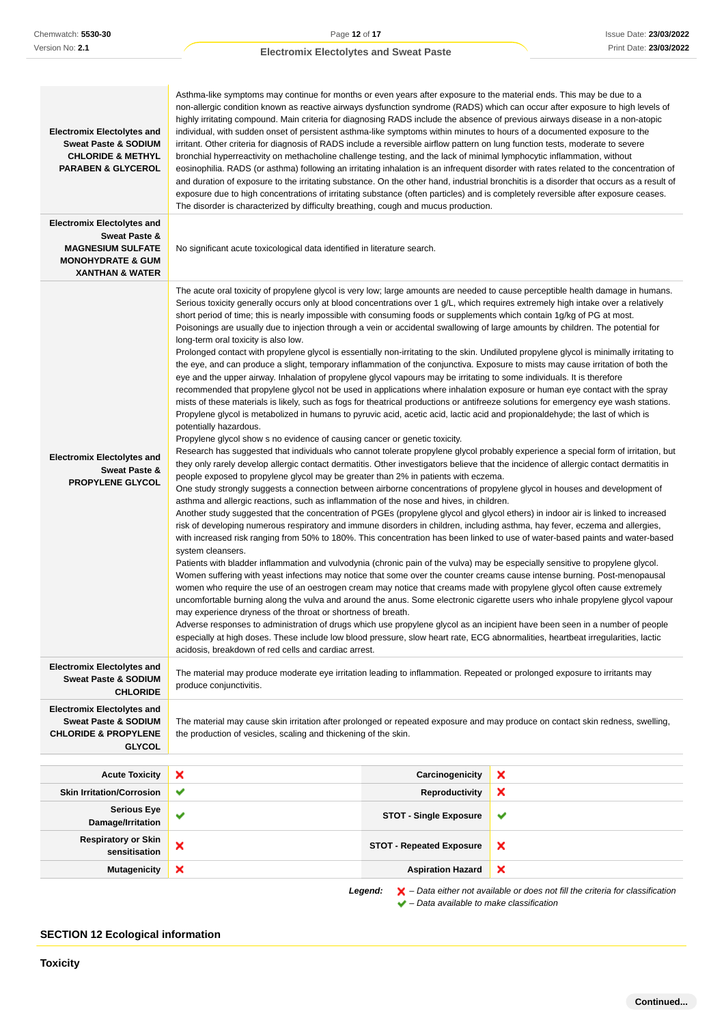Issue Date: **23/03/2022** Print Date: **23/03/2022**

## **Electromix Electolytes and Sweat Paste**

| <b>Electromix Electolytes and</b><br><b>Sweat Paste &amp; SODIUM</b><br><b>CHLORIDE &amp; METHYL</b><br><b>PARABEN &amp; GLYCEROL</b> | Asthma-like symptoms may continue for months or even years after exposure to the material ends. This may be due to a<br>non-allergic condition known as reactive airways dysfunction syndrome (RADS) which can occur after exposure to high levels of<br>highly irritating compound. Main criteria for diagnosing RADS include the absence of previous airways disease in a non-atopic<br>individual, with sudden onset of persistent asthma-like symptoms within minutes to hours of a documented exposure to the<br>irritant. Other criteria for diagnosis of RADS include a reversible airflow pattern on lung function tests, moderate to severe<br>bronchial hyperreactivity on methacholine challenge testing, and the lack of minimal lymphocytic inflammation, without<br>eosinophilia. RADS (or asthma) following an irritating inhalation is an infrequent disorder with rates related to the concentration of<br>and duration of exposure to the irritating substance. On the other hand, industrial bronchitis is a disorder that occurs as a result of<br>exposure due to high concentrations of irritating substance (often particles) and is completely reversible after exposure ceases.<br>The disorder is characterized by difficulty breathing, cough and mucus production.                                                                                                                                                                                                                                                                                                                                                                                                                                                                                                                                                                                                                                                                                                                                                                                                                                                                                                                                                                                                                                                                                                                                                                                                                                                                                                                                                                                                                                                                                                                                                                                                                                                                                                                                                                                                                                                                                                                                                                                                                                                                                                                                                      |                                                                            |  |  |
|---------------------------------------------------------------------------------------------------------------------------------------|-----------------------------------------------------------------------------------------------------------------------------------------------------------------------------------------------------------------------------------------------------------------------------------------------------------------------------------------------------------------------------------------------------------------------------------------------------------------------------------------------------------------------------------------------------------------------------------------------------------------------------------------------------------------------------------------------------------------------------------------------------------------------------------------------------------------------------------------------------------------------------------------------------------------------------------------------------------------------------------------------------------------------------------------------------------------------------------------------------------------------------------------------------------------------------------------------------------------------------------------------------------------------------------------------------------------------------------------------------------------------------------------------------------------------------------------------------------------------------------------------------------------------------------------------------------------------------------------------------------------------------------------------------------------------------------------------------------------------------------------------------------------------------------------------------------------------------------------------------------------------------------------------------------------------------------------------------------------------------------------------------------------------------------------------------------------------------------------------------------------------------------------------------------------------------------------------------------------------------------------------------------------------------------------------------------------------------------------------------------------------------------------------------------------------------------------------------------------------------------------------------------------------------------------------------------------------------------------------------------------------------------------------------------------------------------------------------------------------------------------------------------------------------------------------------------------------------------------------------------------------------------------------------------------------------------------------------------------------------------------------------------------------------------------------------------------------------------------------------------------------------------------------------------------------------------------------------------------------------------------------------------------------------------------------------------------------------------------------------------------------------------------------------------------------------------------------------|----------------------------------------------------------------------------|--|--|
| <b>Electromix Electolytes and</b><br>Sweat Paste &                                                                                    |                                                                                                                                                                                                                                                                                                                                                                                                                                                                                                                                                                                                                                                                                                                                                                                                                                                                                                                                                                                                                                                                                                                                                                                                                                                                                                                                                                                                                                                                                                                                                                                                                                                                                                                                                                                                                                                                                                                                                                                                                                                                                                                                                                                                                                                                                                                                                                                                                                                                                                                                                                                                                                                                                                                                                                                                                                                                                                                                                                                                                                                                                                                                                                                                                                                                                                                                                                                                                                                     |                                                                            |  |  |
| <b>MAGNESIUM SULFATE</b><br><b>MONOHYDRATE &amp; GUM</b><br><b>XANTHAN &amp; WATER</b>                                                | No significant acute toxicological data identified in literature search.                                                                                                                                                                                                                                                                                                                                                                                                                                                                                                                                                                                                                                                                                                                                                                                                                                                                                                                                                                                                                                                                                                                                                                                                                                                                                                                                                                                                                                                                                                                                                                                                                                                                                                                                                                                                                                                                                                                                                                                                                                                                                                                                                                                                                                                                                                                                                                                                                                                                                                                                                                                                                                                                                                                                                                                                                                                                                                                                                                                                                                                                                                                                                                                                                                                                                                                                                                            |                                                                            |  |  |
| <b>Electromix Electolytes and</b><br>Sweat Paste &<br><b>PROPYLENE GLYCOL</b>                                                         | The acute oral toxicity of propylene glycol is very low; large amounts are needed to cause perceptible health damage in humans.<br>Serious toxicity generally occurs only at blood concentrations over 1 g/L, which requires extremely high intake over a relatively<br>short period of time; this is nearly impossible with consuming foods or supplements which contain 1g/kg of PG at most.<br>Poisonings are usually due to injection through a vein or accidental swallowing of large amounts by children. The potential for<br>long-term oral toxicity is also low.<br>Prolonged contact with propylene glycol is essentially non-irritating to the skin. Undiluted propylene glycol is minimally irritating to<br>the eye, and can produce a slight, temporary inflammation of the conjunctiva. Exposure to mists may cause irritation of both the<br>eye and the upper airway. Inhalation of propylene glycol vapours may be irritating to some individuals. It is therefore<br>recommended that propylene glycol not be used in applications where inhalation exposure or human eye contact with the spray<br>mists of these materials is likely, such as fogs for theatrical productions or antifreeze solutions for emergency eye wash stations.<br>Propylene glycol is metabolized in humans to pyruvic acid, acetic acid, lactic acid and propionaldehyde; the last of which is<br>potentially hazardous.<br>Propylene glycol show s no evidence of causing cancer or genetic toxicity.<br>Research has suggested that individuals who cannot tolerate propylene glycol probably experience a special form of irritation, but<br>they only rarely develop allergic contact dermatitis. Other investigators believe that the incidence of allergic contact dermatitis in<br>people exposed to propylene glycol may be greater than 2% in patients with eczema.<br>One study strongly suggests a connection between airborne concentrations of propylene glycol in houses and development of<br>asthma and allergic reactions, such as inflammation of the nose and hives, in children.<br>Another study suggested that the concentration of PGEs (propylene glycol and glycol ethers) in indoor air is linked to increased<br>risk of developing numerous respiratory and immune disorders in children, including asthma, hay fever, eczema and allergies,<br>with increased risk ranging from 50% to 180%. This concentration has been linked to use of water-based paints and water-based<br>system cleansers.<br>Patients with bladder inflammation and vulvodynia (chronic pain of the vulva) may be especially sensitive to propylene glycol.<br>Women suffering with yeast infections may notice that some over the counter creams cause intense burning. Post-menopausal<br>women who require the use of an oestrogen cream may notice that creams made with propylene glycol often cause extremely<br>uncomfortable burning along the vulva and around the anus. Some electronic cigarette users who inhale propylene glycol vapour<br>may experience dryness of the throat or shortness of breath.<br>Adverse responses to administration of drugs which use propylene glycol as an incipient have been seen in a number of people<br>especially at high doses. These include low blood pressure, slow heart rate, ECG abnormalities, heartbeat irregularities, lactic<br>acidosis, breakdown of red cells and cardiac arrest. |                                                                            |  |  |
| <b>Electromix Electolytes and</b><br><b>Sweat Paste &amp; SODIUM</b><br><b>CHLORIDE</b>                                               | The material may produce moderate eye irritation leading to inflammation. Repeated or prolonged exposure to irritants may<br>produce conjunctivitis.                                                                                                                                                                                                                                                                                                                                                                                                                                                                                                                                                                                                                                                                                                                                                                                                                                                                                                                                                                                                                                                                                                                                                                                                                                                                                                                                                                                                                                                                                                                                                                                                                                                                                                                                                                                                                                                                                                                                                                                                                                                                                                                                                                                                                                                                                                                                                                                                                                                                                                                                                                                                                                                                                                                                                                                                                                                                                                                                                                                                                                                                                                                                                                                                                                                                                                |                                                                            |  |  |
| <b>Electromix Electolytes and</b><br><b>Sweat Paste &amp; SODIUM</b><br><b>CHLORIDE &amp; PROPYLENE</b><br><b>GLYCOL</b>              | The material may cause skin irritation after prolonged or repeated exposure and may produce on contact skin redness, swelling,<br>the production of vesicles, scaling and thickening of the skin.                                                                                                                                                                                                                                                                                                                                                                                                                                                                                                                                                                                                                                                                                                                                                                                                                                                                                                                                                                                                                                                                                                                                                                                                                                                                                                                                                                                                                                                                                                                                                                                                                                                                                                                                                                                                                                                                                                                                                                                                                                                                                                                                                                                                                                                                                                                                                                                                                                                                                                                                                                                                                                                                                                                                                                                                                                                                                                                                                                                                                                                                                                                                                                                                                                                   |                                                                            |  |  |
| <b>Acute Toxicity</b>                                                                                                                 | ×<br>Carcinogenicity                                                                                                                                                                                                                                                                                                                                                                                                                                                                                                                                                                                                                                                                                                                                                                                                                                                                                                                                                                                                                                                                                                                                                                                                                                                                                                                                                                                                                                                                                                                                                                                                                                                                                                                                                                                                                                                                                                                                                                                                                                                                                                                                                                                                                                                                                                                                                                                                                                                                                                                                                                                                                                                                                                                                                                                                                                                                                                                                                                                                                                                                                                                                                                                                                                                                                                                                                                                                                                | ×                                                                          |  |  |
| <b>Skin Irritation/Corrosion</b>                                                                                                      | ✔<br><b>Reproductivity</b>                                                                                                                                                                                                                                                                                                                                                                                                                                                                                                                                                                                                                                                                                                                                                                                                                                                                                                                                                                                                                                                                                                                                                                                                                                                                                                                                                                                                                                                                                                                                                                                                                                                                                                                                                                                                                                                                                                                                                                                                                                                                                                                                                                                                                                                                                                                                                                                                                                                                                                                                                                                                                                                                                                                                                                                                                                                                                                                                                                                                                                                                                                                                                                                                                                                                                                                                                                                                                          | ×                                                                          |  |  |
| <b>Serious Eye</b><br>Damage/Irritation                                                                                               | ✔<br><b>STOT - Single Exposure</b>                                                                                                                                                                                                                                                                                                                                                                                                                                                                                                                                                                                                                                                                                                                                                                                                                                                                                                                                                                                                                                                                                                                                                                                                                                                                                                                                                                                                                                                                                                                                                                                                                                                                                                                                                                                                                                                                                                                                                                                                                                                                                                                                                                                                                                                                                                                                                                                                                                                                                                                                                                                                                                                                                                                                                                                                                                                                                                                                                                                                                                                                                                                                                                                                                                                                                                                                                                                                                  | ✔                                                                          |  |  |
| <b>Respiratory or Skin</b><br>sensitisation                                                                                           | ×<br>×<br><b>STOT - Repeated Exposure</b>                                                                                                                                                                                                                                                                                                                                                                                                                                                                                                                                                                                                                                                                                                                                                                                                                                                                                                                                                                                                                                                                                                                                                                                                                                                                                                                                                                                                                                                                                                                                                                                                                                                                                                                                                                                                                                                                                                                                                                                                                                                                                                                                                                                                                                                                                                                                                                                                                                                                                                                                                                                                                                                                                                                                                                                                                                                                                                                                                                                                                                                                                                                                                                                                                                                                                                                                                                                                           |                                                                            |  |  |
| <b>Mutagenicity</b>                                                                                                                   | ×<br><b>Aspiration Hazard</b>                                                                                                                                                                                                                                                                                                                                                                                                                                                                                                                                                                                                                                                                                                                                                                                                                                                                                                                                                                                                                                                                                                                                                                                                                                                                                                                                                                                                                                                                                                                                                                                                                                                                                                                                                                                                                                                                                                                                                                                                                                                                                                                                                                                                                                                                                                                                                                                                                                                                                                                                                                                                                                                                                                                                                                                                                                                                                                                                                                                                                                                                                                                                                                                                                                                                                                                                                                                                                       | ×                                                                          |  |  |
|                                                                                                                                       |                                                                                                                                                                                                                                                                                                                                                                                                                                                                                                                                                                                                                                                                                                                                                                                                                                                                                                                                                                                                                                                                                                                                                                                                                                                                                                                                                                                                                                                                                                                                                                                                                                                                                                                                                                                                                                                                                                                                                                                                                                                                                                                                                                                                                                                                                                                                                                                                                                                                                                                                                                                                                                                                                                                                                                                                                                                                                                                                                                                                                                                                                                                                                                                                                                                                                                                                                                                                                                                     | Data oither not available or does not fill the criteria for classification |  |  |

**Legend:** – Data either not available or does not fill the criteria for classification

 $\blacktriangleright$  – Data available to make classification

## **SECTION 12 Ecological information**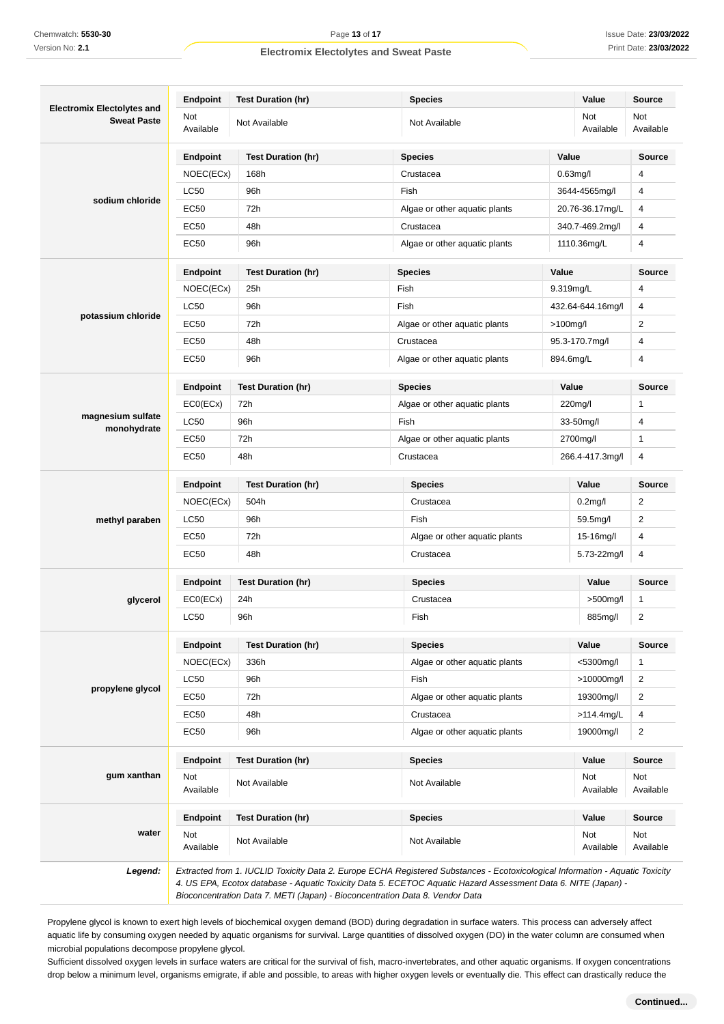| <b>Electromix Electolytes and</b> | <b>Endpoint</b>  | <b>Test Duration (hr)</b> | <b>Species</b>                |               | Value             | <b>Source</b>    |
|-----------------------------------|------------------|---------------------------|-------------------------------|---------------|-------------------|------------------|
| <b>Sweat Paste</b>                | Not<br>Available | Not Available             | Not Available                 |               | Not<br>Available  | Not<br>Available |
|                                   | Endpoint         | <b>Test Duration (hr)</b> | <b>Species</b>                |               | Value             | <b>Source</b>    |
|                                   | NOEC(ECx)        | 168h                      | Crustacea                     |               | $0.63$ mg/l       | 4                |
|                                   | <b>LC50</b>      | 96h                       | Fish                          | 3644-4565mg/l |                   | $\overline{4}$   |
| sodium chloride                   | <b>EC50</b>      | 72h                       | Algae or other aquatic plants |               | 20.76-36.17mg/L   |                  |
|                                   | <b>EC50</b>      | 48h                       | Crustacea                     |               | 340.7-469.2mg/l   | 4                |
|                                   | <b>EC50</b>      | 96h                       | Algae or other aquatic plants |               | 1110.36mg/L       | 4                |
|                                   | <b>Endpoint</b>  | <b>Test Duration (hr)</b> | <b>Species</b>                | Value         |                   | <b>Source</b>    |
|                                   | NOEC(ECx)        | 25h                       | Fish                          |               | 9.319mg/L         | $\overline{4}$   |
|                                   | <b>LC50</b>      | 96h                       | Fish                          |               | 432.64-644.16mg/l | 4                |
| potassium chloride                | <b>EC50</b>      | 72h                       | Algae or other aquatic plants |               | $>100$ mg/l       | $\overline{2}$   |
|                                   | EC50             | 48h                       | Crustacea                     |               | 95.3-170.7mg/l    | 4                |
|                                   | <b>EC50</b>      | 96h                       | Algae or other aquatic plants |               | 894.6mg/L         | $\overline{4}$   |
|                                   | <b>Endpoint</b>  | <b>Test Duration (hr)</b> | <b>Species</b>                |               | Value             | <b>Source</b>    |
|                                   | ECO(ECX)         | 72h                       | Algae or other aquatic plants |               | 220mg/l           | 1                |
| magnesium sulfate<br>monohydrate  | <b>LC50</b>      | 96h                       | Fish                          | 33-50mg/l     |                   | 4                |
|                                   | <b>EC50</b>      | 72h                       | Algae or other aquatic plants | 2700mg/l      |                   | $\mathbf{1}$     |
|                                   | EC50             | 48h                       | Crustacea<br>266.4-417.3mg/l  |               | 4                 |                  |
|                                   | Endpoint         | <b>Test Duration (hr)</b> | <b>Species</b>                |               | Value             | <b>Source</b>    |
|                                   | NOEC(ECx)        | 504h                      | Crustacea                     |               | $0.2$ mg/l        | 2                |
| methyl paraben                    | <b>LC50</b>      | 96h                       | Fish<br>59.5mg/l              |               |                   | $\overline{2}$   |
|                                   | EC50             | 72h                       | Algae or other aquatic plants |               | 15-16mg/l         | 4                |
|                                   | <b>EC50</b>      | 48h                       | Crustacea<br>5.73-22mg/l      |               | 4                 |                  |
|                                   | Endpoint         | <b>Test Duration (hr)</b> | <b>Species</b><br>Value       |               |                   | <b>Source</b>    |
| glycerol                          | ECO(ECx)         | 24h                       | Crustacea                     |               | $>500$ mg/l       | 1                |
|                                   | <b>LC50</b>      | 96h                       | Fish                          | 885mg/l       |                   | $\overline{2}$   |
|                                   | Endpoint         | <b>Test Duration (hr)</b> | <b>Species</b>                | Value         |                   | Source           |
|                                   | NOEC(ECx)        | 336h                      | Algae or other aquatic plants |               | <5300mg/l         | 1                |
|                                   | <b>LC50</b>      | 96h                       | Fish                          |               | >10000mg/l        | $\overline{2}$   |
| propylene glycol                  | EC50             | 72h                       | Algae or other aquatic plants |               | 19300mg/l         | $\overline{2}$   |
|                                   | <b>EC50</b>      | 48h                       | Crustacea                     |               | $>114.4$ mg/L     | 4                |
|                                   | EC50             | 96h                       | Algae or other aquatic plants | 19000mg/l     |                   | $\overline{2}$   |
|                                   | <b>Endpoint</b>  | <b>Test Duration (hr)</b> | <b>Species</b>                | Value         |                   | Source           |
| gum xanthan                       | Not<br>Available | Not Available             | Not Available                 |               | Not<br>Available  | Not<br>Available |
|                                   | <b>Endpoint</b>  | <b>Test Duration (hr)</b> | <b>Species</b>                |               | Value             | Source           |
| water                             | Not<br>Available | Not Available             | Not Available                 |               | Not<br>Available  | Not<br>Available |

Propylene glycol is known to exert high levels of biochemical oxygen demand (BOD) during degradation in surface waters. This process can adversely affect aquatic life by consuming oxygen needed by aquatic organisms for survival. Large quantities of dissolved oxygen (DO) in the water column are consumed when microbial populations decompose propylene glycol.

Sufficient dissolved oxygen levels in surface waters are critical for the survival of fish, macro-invertebrates, and other aquatic organisms. If oxygen concentrations drop below a minimum level, organisms emigrate, if able and possible, to areas with higher oxygen levels or eventually die. This effect can drastically reduce the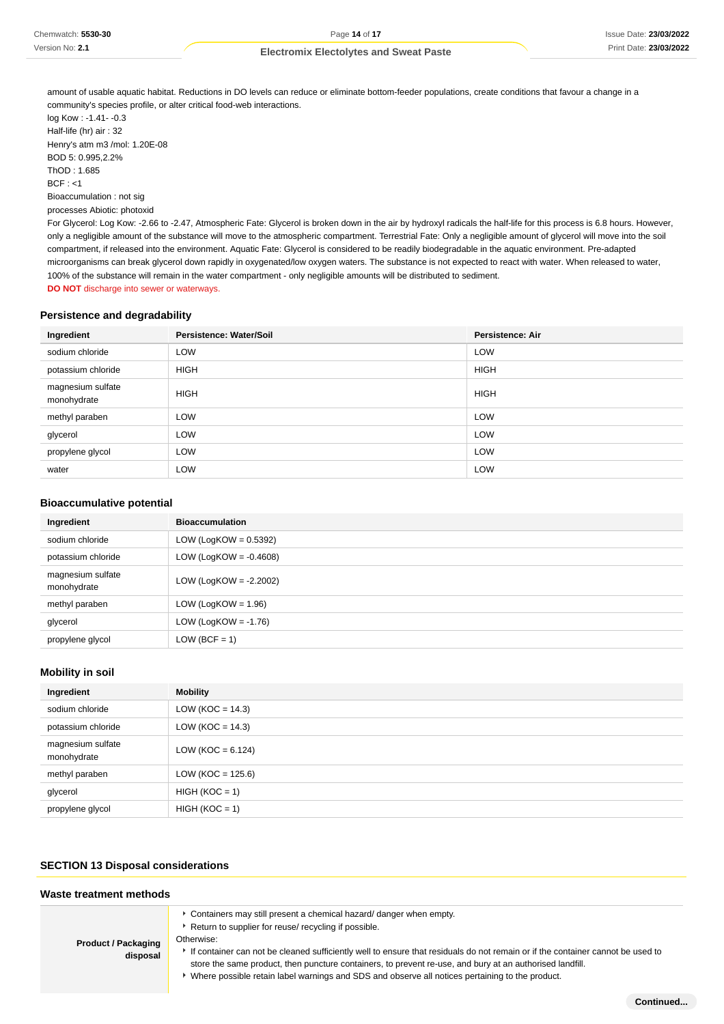| Chemwatch: 5530-30 |  |
|--------------------|--|
| Version No: 2.1    |  |

amount of usable aquatic habitat. Reductions in DO levels can reduce or eliminate bottom-feeder populations, create conditions that favour a change in a community's species profile, or alter critical food-web interactions.

log Kow : -1.41- -0.3 Half-life (hr) air : 32 Henry's atm m3 /mol: 1.20E-08 BOD 5: 0.995,2.2% ThOD : 1.685 BCF : <1 Bioaccumulation : not sig processes Abiotic: photoxid

For Glycerol: Log Kow: -2.66 to -2.47, Atmospheric Fate: Glycerol is broken down in the air by hydroxyl radicals the half-life for this process is 6.8 hours. However, only a negligible amount of the substance will move to the atmospheric compartment. Terrestrial Fate: Only a negligible amount of glycerol will move into the soil compartment, if released into the environment. Aquatic Fate: Glycerol is considered to be readily biodegradable in the aquatic environment. Pre-adapted microorganisms can break glycerol down rapidly in oxygenated/low oxygen waters. The substance is not expected to react with water. When released to water, 100% of the substance will remain in the water compartment - only negligible amounts will be distributed to sediment.

**DO NOT** discharge into sewer or waterways.

## **Persistence and degradability**

| Ingredient                       | Persistence: Water/Soil | <b>Persistence: Air</b> |
|----------------------------------|-------------------------|-------------------------|
| sodium chloride                  | <b>LOW</b>              | <b>LOW</b>              |
| potassium chloride               | <b>HIGH</b>             | <b>HIGH</b>             |
| magnesium sulfate<br>monohydrate | <b>HIGH</b>             | <b>HIGH</b>             |
| methyl paraben                   | <b>LOW</b>              | <b>LOW</b>              |
| glycerol                         | <b>LOW</b>              | LOW                     |
| propylene glycol                 | LOW                     | LOW                     |
| water                            | <b>LOW</b>              | <b>LOW</b>              |

#### **Bioaccumulative potential**

| Ingredient                       | <b>Bioaccumulation</b>    |
|----------------------------------|---------------------------|
| sodium chloride                  | LOW (LogKOW = $0.5392$ )  |
| potassium chloride               | LOW (LogKOW = $-0.4608$ ) |
| magnesium sulfate<br>monohydrate | LOW (LogKOW = $-2.2002$ ) |
| methyl paraben                   | LOW (LogKOW = $1.96$ )    |
| glycerol                         | LOW (LogKOW = $-1.76$ )   |
| propylene glycol                 | $LOW (BCF = 1)$           |

## **Mobility in soil**

| Ingredient                       | Mobility             |
|----------------------------------|----------------------|
| sodium chloride                  | LOW ( $KOC = 14.3$ ) |
| potassium chloride               | LOW ( $KOC = 14.3$ ) |
| magnesium sulfate<br>monohydrate | LOW (KOC = $6.124$ ) |
| methyl paraben                   | $LOW (KOC = 125.6)$  |
| glycerol                         | $HIGH (KOC = 1)$     |
| propylene glycol                 | $HIGH (KOC = 1)$     |

## **SECTION 13 Disposal considerations**

| Waste treatment methods                |                                                                                                                                                                                                                                                                                                                                                                                                                                                                                              |
|----------------------------------------|----------------------------------------------------------------------------------------------------------------------------------------------------------------------------------------------------------------------------------------------------------------------------------------------------------------------------------------------------------------------------------------------------------------------------------------------------------------------------------------------|
| <b>Product / Packaging</b><br>disposal | Containers may still present a chemical hazard/danger when empty.<br>▶ Return to supplier for reuse/ recycling if possible.<br>Otherwise:<br>If container can not be cleaned sufficiently well to ensure that residuals do not remain or if the container cannot be used to<br>store the same product, then puncture containers, to prevent re-use, and bury at an authorised landfill.<br>▶ Where possible retain label warnings and SDS and observe all notices pertaining to the product. |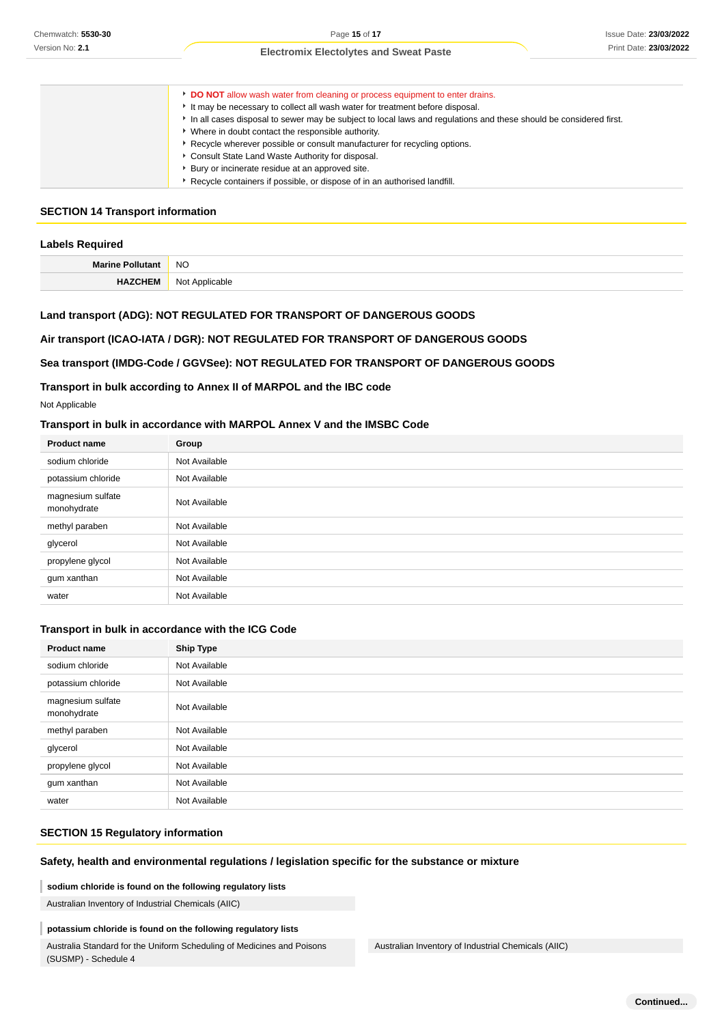| DO NOT allow wash water from cleaning or process equipment to enter drains.                                       |
|-------------------------------------------------------------------------------------------------------------------|
| It may be necessary to collect all wash water for treatment before disposal.                                      |
| In all cases disposal to sewer may be subject to local laws and regulations and these should be considered first. |
| Where in doubt contact the responsible authority.                                                                 |
| Recycle wherever possible or consult manufacturer for recycling options.                                          |
| Consult State Land Waste Authority for disposal.                                                                  |
| Bury or incinerate residue at an approved site.                                                                   |
| Recycle containers if possible, or dispose of in an authorised landfill.                                          |

#### **SECTION 14 Transport information**

| <b>Labels Required</b> |                |
|------------------------|----------------|
| Marine Pollutant NO    |                |
| <b>HAZCHEM</b>         | Not Applicable |

## **Land transport (ADG): NOT REGULATED FOR TRANSPORT OF DANGEROUS GOODS**

## **Air transport (ICAO-IATA / DGR): NOT REGULATED FOR TRANSPORT OF DANGEROUS GOODS**

### **Sea transport (IMDG-Code / GGVSee): NOT REGULATED FOR TRANSPORT OF DANGEROUS GOODS**

### **Transport in bulk according to Annex II of MARPOL and the IBC code**

## **Transport in bulk in accordance with MARPOL Annex V and the IMSBC Code**

| <b>Product name</b>              | Group         |
|----------------------------------|---------------|
| sodium chloride                  | Not Available |
| potassium chloride               | Not Available |
| magnesium sulfate<br>monohydrate | Not Available |
| methyl paraben                   | Not Available |
| glycerol                         | Not Available |
| propylene glycol                 | Not Available |
| gum xanthan                      | Not Available |
| water                            | Not Available |

### **Transport in bulk in accordance with the ICG Code**

| Chemwatch: 5530-30                                  | Page 15 of 17                                                                                                                                                                                                                                                                                  |                                                                                                                   | <b>Issue Date: 23/03/202</b> |
|-----------------------------------------------------|------------------------------------------------------------------------------------------------------------------------------------------------------------------------------------------------------------------------------------------------------------------------------------------------|-------------------------------------------------------------------------------------------------------------------|------------------------------|
| Version No: 2.1                                     | <b>Electromix Electolytes and Sweat Paste</b>                                                                                                                                                                                                                                                  |                                                                                                                   | Print Date: 23/03/202        |
|                                                     |                                                                                                                                                                                                                                                                                                |                                                                                                                   |                              |
|                                                     | DO NOT allow wash water from cleaning or process equipment to enter drains.<br>It may be necessary to collect all wash water for treatment before disposal.<br>* Where in doubt contact the responsible authority.<br>Recycle wherever possible or consult manufacturer for recycling options. | In all cases disposal to sewer may be subject to local laws and regulations and these should be considered first. |                              |
|                                                     | Consult State Land Waste Authority for disposal.                                                                                                                                                                                                                                               |                                                                                                                   |                              |
|                                                     | • Bury or incinerate residue at an approved site.<br>Recycle containers if possible, or dispose of in an authorised landfill.                                                                                                                                                                  |                                                                                                                   |                              |
| <b>SECTION 14 Transport information</b>             |                                                                                                                                                                                                                                                                                                |                                                                                                                   |                              |
| <b>Labels Required</b>                              |                                                                                                                                                                                                                                                                                                |                                                                                                                   |                              |
| <b>Marine Pollutant</b>                             | NO                                                                                                                                                                                                                                                                                             |                                                                                                                   |                              |
| <b>HAZCHEM</b>                                      | Not Applicable                                                                                                                                                                                                                                                                                 |                                                                                                                   |                              |
|                                                     | Land transport (ADG): NOT REGULATED FOR TRANSPORT OF DANGEROUS GOODS<br>Air transport (ICAO-IATA / DGR): NOT REGULATED FOR TRANSPORT OF DANGEROUS GOODS<br>Sea transport (IMDG-Code / GGVSee): NOT REGULATED FOR TRANSPORT OF DANGEROUS GOODS                                                  |                                                                                                                   |                              |
| Not Applicable                                      | Transport in bulk according to Annex II of MARPOL and the IBC code                                                                                                                                                                                                                             |                                                                                                                   |                              |
|                                                     | Transport in bulk in accordance with MARPOL Annex V and the IMSBC Code                                                                                                                                                                                                                         |                                                                                                                   |                              |
| <b>Product name</b>                                 | Group                                                                                                                                                                                                                                                                                          |                                                                                                                   |                              |
| sodium chloride                                     | Not Available                                                                                                                                                                                                                                                                                  |                                                                                                                   |                              |
| potassium chloride                                  | Not Available                                                                                                                                                                                                                                                                                  |                                                                                                                   |                              |
| magnesium sulfate<br>monohydrate                    | Not Available                                                                                                                                                                                                                                                                                  |                                                                                                                   |                              |
| methyl paraben                                      | Not Available                                                                                                                                                                                                                                                                                  |                                                                                                                   |                              |
| glycerol                                            | Not Available                                                                                                                                                                                                                                                                                  |                                                                                                                   |                              |
| propylene glycol                                    | Not Available                                                                                                                                                                                                                                                                                  |                                                                                                                   |                              |
| gum xanthan                                         | Not Available                                                                                                                                                                                                                                                                                  |                                                                                                                   |                              |
| water                                               | Not Available                                                                                                                                                                                                                                                                                  |                                                                                                                   |                              |
|                                                     | Transport in bulk in accordance with the ICG Code                                                                                                                                                                                                                                              |                                                                                                                   |                              |
| <b>Product name</b>                                 | <b>Ship Type</b>                                                                                                                                                                                                                                                                               |                                                                                                                   |                              |
| sodium chloride                                     | Not Available                                                                                                                                                                                                                                                                                  |                                                                                                                   |                              |
| potassium chloride                                  | Not Available                                                                                                                                                                                                                                                                                  |                                                                                                                   |                              |
| magnesium sulfate<br>monohydrate                    | Not Available                                                                                                                                                                                                                                                                                  |                                                                                                                   |                              |
| methyl paraben                                      | Not Available                                                                                                                                                                                                                                                                                  |                                                                                                                   |                              |
| glycerol                                            | Not Available                                                                                                                                                                                                                                                                                  |                                                                                                                   |                              |
| propylene glycol                                    | Not Available                                                                                                                                                                                                                                                                                  |                                                                                                                   |                              |
| gum xanthan                                         | Not Available                                                                                                                                                                                                                                                                                  |                                                                                                                   |                              |
| water                                               | Not Available                                                                                                                                                                                                                                                                                  |                                                                                                                   |                              |
| <b>SECTION 15 Regulatory information</b>            |                                                                                                                                                                                                                                                                                                |                                                                                                                   |                              |
|                                                     | Safety, health and environmental regulations / legislation specific for the substance or mixture                                                                                                                                                                                               |                                                                                                                   |                              |
|                                                     | sodium chloride is found on the following regulatory lists                                                                                                                                                                                                                                     |                                                                                                                   |                              |
| Australian Inventory of Industrial Chemicals (AIIC) |                                                                                                                                                                                                                                                                                                |                                                                                                                   |                              |
|                                                     |                                                                                                                                                                                                                                                                                                |                                                                                                                   |                              |
|                                                     | potassium chloride is found on the following regulatory lists<br>Australia Standard for the Uniform Scheduling of Medicines and Poisons                                                                                                                                                        | Australian Inventory of Industrial Chemicals (AIIC)                                                               |                              |
|                                                     |                                                                                                                                                                                                                                                                                                |                                                                                                                   |                              |

## **SECTION 15 Regulatory information**

## **Safety, health and environmental regulations / legislation specific for the substance or mixture**

### **potassium chloride is found on the following regulatory lists**

Australia Standard for the Uniform Scheduling of Medicines and Poisons (SUSMP) - Schedule 4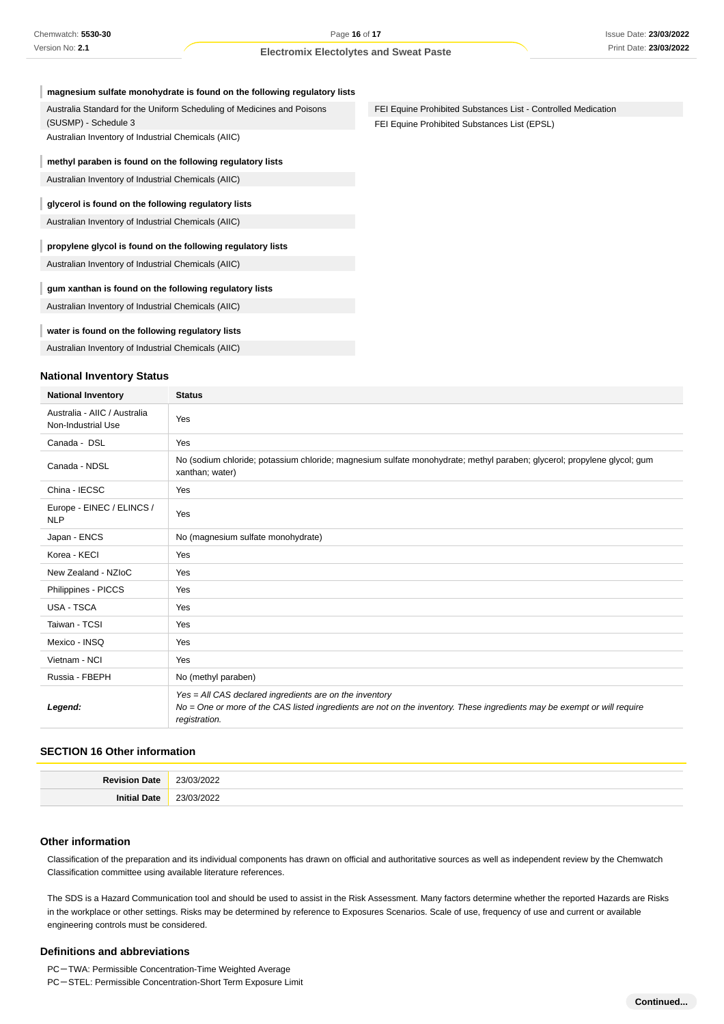| magnesium sulfate monohydrate is found on the following regulatory lists |  |  |
|--------------------------------------------------------------------------|--|--|
|--------------------------------------------------------------------------|--|--|

Australia Standard for the Uniform Scheduling of Medicines and Poisons (SUSMP) - Schedule 3

Australian Inventory of Industrial Chemicals (AIIC)

#### **methyl paraben is found on the following regulatory lists**

Australian Inventory of Industrial Chemicals (AIIC)

#### **glycerol is found on the following regulatory lists**

Australian Inventory of Industrial Chemicals (AIIC)

### **propylene glycol is found on the following regulatory lists**

Australian Inventory of Industrial Chemicals (AIIC)

#### **gum xanthan is found on the following regulatory lists**

Australian Inventory of Industrial Chemicals (AIIC)

#### **water is found on the following regulatory lists**

Australian Inventory of Industrial Chemicals (AIIC)

#### **National Inventory Status**

| <b>National Inventory</b>                          | <b>Status</b>                                                                                                                                                                                        |
|----------------------------------------------------|------------------------------------------------------------------------------------------------------------------------------------------------------------------------------------------------------|
| Australia - AIIC / Australia<br>Non-Industrial Use | Yes                                                                                                                                                                                                  |
| Canada - DSL                                       | Yes                                                                                                                                                                                                  |
| Canada - NDSL                                      | No (sodium chloride; potassium chloride; magnesium sulfate monohydrate; methyl paraben; glycerol; propylene glycol; gum<br>xanthan; water)                                                           |
| China - IECSC                                      | Yes                                                                                                                                                                                                  |
| Europe - EINEC / ELINCS /<br><b>NLP</b>            | Yes                                                                                                                                                                                                  |
| Japan - ENCS                                       | No (magnesium sulfate monohydrate)                                                                                                                                                                   |
| Korea - KECI                                       | Yes                                                                                                                                                                                                  |
| New Zealand - NZIoC                                | Yes                                                                                                                                                                                                  |
| Philippines - PICCS                                | Yes                                                                                                                                                                                                  |
| USA - TSCA                                         | Yes                                                                                                                                                                                                  |
| Taiwan - TCSI                                      | Yes                                                                                                                                                                                                  |
| Mexico - INSQ                                      | Yes                                                                                                                                                                                                  |
| Vietnam - NCI                                      | Yes                                                                                                                                                                                                  |
| Russia - FBEPH                                     | No (methyl paraben)                                                                                                                                                                                  |
| Legend:                                            | Yes = All CAS declared ingredients are on the inventory<br>No = One or more of the CAS listed ingredients are not on the inventory. These ingredients may be exempt or will require<br>registration. |

### **SECTION 16 Other information**

| ∩efo<br><b><i>Povicir</i></b> | $\sim$<br>23/1.<br>uzz<br>$\sim$ $\sim$ |
|-------------------------------|-----------------------------------------|
| -Init<br>ה+הרו<br>            | $\sim$<br>$\sim$<br>וואי<br>◡▵<br>$ -$  |

#### **Other information**

Classification of the preparation and its individual components has drawn on official and authoritative sources as well as independent review by the Chemwatch Classification committee using available literature references.

The SDS is a Hazard Communication tool and should be used to assist in the Risk Assessment. Many factors determine whether the reported Hazards are Risks in the workplace or other settings. Risks may be determined by reference to Exposures Scenarios. Scale of use, frequency of use and current or available engineering controls must be considered.

#### **Definitions and abbreviations**

PC-TWA: Permissible Concentration-Time Weighted Average

```
PC-STEL: Permissible Concentration-Short Term Exposure Limit
```